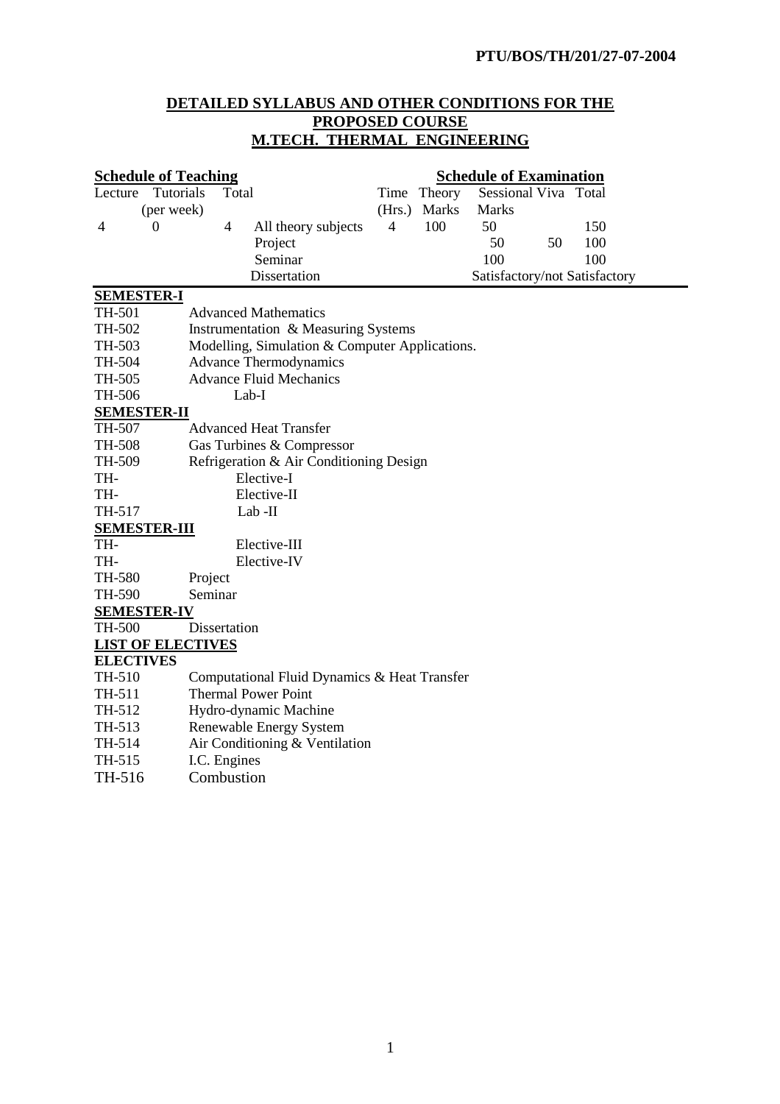# **DETAILED SYLLABUS AND OTHER CONDITIONS FOR THE PROPOSED COURSE M.TECH. THERMAL ENGINEERING**

|                   | <b>Schedule of Teaching</b> |                            |                                                |                |              | <b>Schedule of Examination</b> |    |                               |
|-------------------|-----------------------------|----------------------------|------------------------------------------------|----------------|--------------|--------------------------------|----|-------------------------------|
| Lecture           | <b>Tutorials</b>            | Total                      |                                                |                | Time Theory  | Sessional Viva Total           |    |                               |
|                   | (per week)                  |                            |                                                |                | (Hrs.) Marks | <b>Marks</b>                   |    |                               |
| 4                 | $\boldsymbol{0}$            | $\overline{4}$             | All theory subjects                            | $\overline{4}$ | 100          | 50                             |    | 150                           |
|                   |                             |                            | Project                                        |                |              | 50                             | 50 | 100                           |
|                   |                             |                            | Seminar                                        |                |              | 100                            |    | 100                           |
|                   |                             |                            | Dissertation                                   |                |              |                                |    | Satisfactory/not Satisfactory |
| <b>SEMESTER-I</b> |                             |                            |                                                |                |              |                                |    |                               |
| TH-501            |                             |                            | <b>Advanced Mathematics</b>                    |                |              |                                |    |                               |
| TH-502            |                             |                            | Instrumentation & Measuring Systems            |                |              |                                |    |                               |
| TH-503            |                             |                            | Modelling, Simulation & Computer Applications. |                |              |                                |    |                               |
| TH-504            |                             |                            | <b>Advance Thermodynamics</b>                  |                |              |                                |    |                               |
| TH-505            |                             |                            | <b>Advance Fluid Mechanics</b>                 |                |              |                                |    |                               |
| TH-506            |                             |                            | Lab-I                                          |                |              |                                |    |                               |
|                   | <b>SEMESTER-II</b>          |                            |                                                |                |              |                                |    |                               |
| TH-507            |                             |                            | <b>Advanced Heat Transfer</b>                  |                |              |                                |    |                               |
| TH-508            |                             |                            | Gas Turbines & Compressor                      |                |              |                                |    |                               |
| TH-509            |                             |                            | Refrigeration & Air Conditioning Design        |                |              |                                |    |                               |
| TH-               |                             |                            | Elective-I                                     |                |              |                                |    |                               |
| TH-               |                             |                            | Elective-II                                    |                |              |                                |    |                               |
| TH-517            |                             |                            | $Lab$ -II                                      |                |              |                                |    |                               |
|                   | <b>SEMESTER-III</b>         |                            |                                                |                |              |                                |    |                               |
| TH-               |                             |                            | Elective-III                                   |                |              |                                |    |                               |
| TH-               |                             |                            | Elective-IV                                    |                |              |                                |    |                               |
| TH-580            |                             | Project                    |                                                |                |              |                                |    |                               |
| TH-590            |                             | Seminar                    |                                                |                |              |                                |    |                               |
|                   | <b>SEMESTER-IV</b>          |                            |                                                |                |              |                                |    |                               |
| <b>TH-500</b>     |                             | Dissertation               |                                                |                |              |                                |    |                               |
|                   | <b>LIST OF ELECTIVES</b>    |                            |                                                |                |              |                                |    |                               |
| <b>ELECTIVES</b>  |                             |                            |                                                |                |              |                                |    |                               |
| TH-510            |                             |                            | Computational Fluid Dynamics & Heat Transfer   |                |              |                                |    |                               |
| TH-511            |                             | <b>Thermal Power Point</b> |                                                |                |              |                                |    |                               |
| TH-512            |                             |                            | Hydro-dynamic Machine                          |                |              |                                |    |                               |
| TH-513            |                             |                            | <b>Renewable Energy System</b>                 |                |              |                                |    |                               |
| TH-514            |                             |                            | Air Conditioning & Ventilation                 |                |              |                                |    |                               |
| TH-515            |                             | I.C. Engines               |                                                |                |              |                                |    |                               |
| TH-516            |                             | Combustion                 |                                                |                |              |                                |    |                               |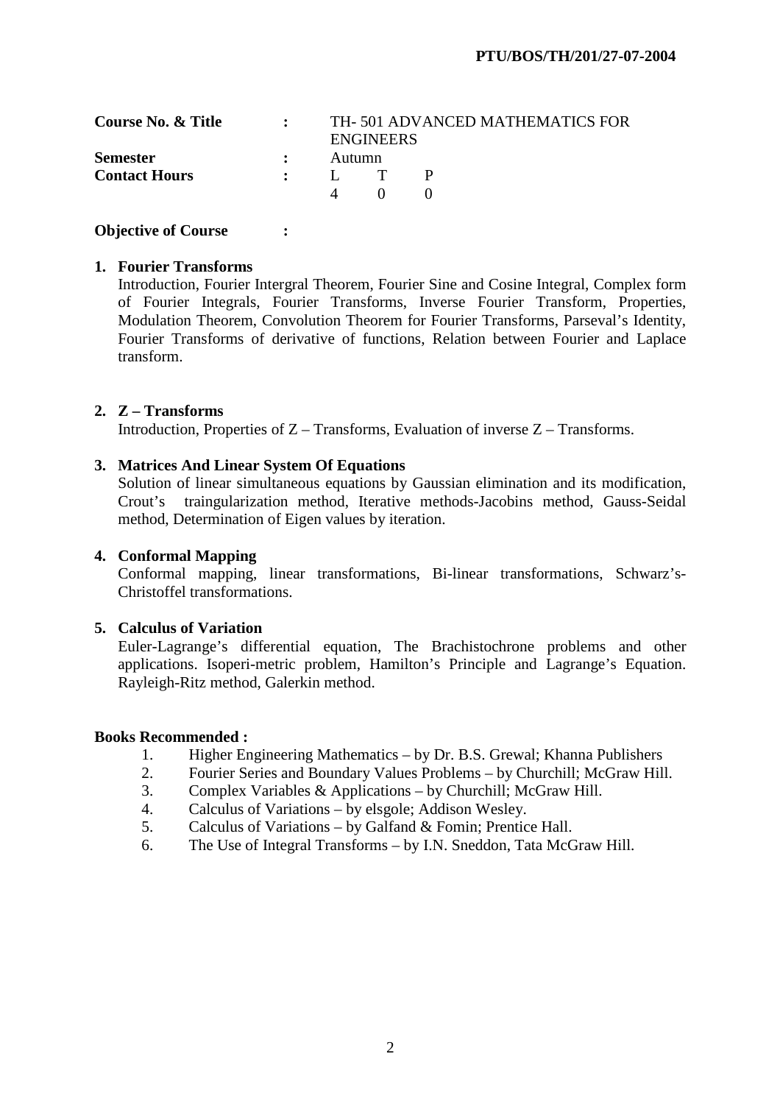| Course No. & Title   |              |        | <b>ENGINEERS</b> | TH-501 ADVANCED MATHEMATICS FOR |  |
|----------------------|--------------|--------|------------------|---------------------------------|--|
| <b>Semester</b>      | $\mathbf{r}$ | Autumn |                  |                                 |  |
| <b>Contact Hours</b> |              |        |                  |                                 |  |
|                      |              |        |                  |                                 |  |

# **1. Fourier Transforms**

Introduction, Fourier Intergral Theorem, Fourier Sine and Cosine Integral, Complex form of Fourier Integrals, Fourier Transforms, Inverse Fourier Transform, Properties, Modulation Theorem, Convolution Theorem for Fourier Transforms, Parseval's Identity, Fourier Transforms of derivative of functions, Relation between Fourier and Laplace transform.

# **2. Z – Transforms**

Introduction, Properties of Z – Transforms, Evaluation of inverse Z – Transforms.

# **3. Matrices And Linear System Of Equations**

Solution of linear simultaneous equations by Gaussian elimination and its modification, Crout's traingularization method, Iterative methods-Jacobins method, Gauss-Seidal method, Determination of Eigen values by iteration.

# **4. Conformal Mapping**

Conformal mapping, linear transformations, Bi-linear transformations, Schwarz's-Christoffel transformations.

# **5. Calculus of Variation**

Euler-Lagrange's differential equation, The Brachistochrone problems and other applications. Isoperi-metric problem, Hamilton's Principle and Lagrange's Equation. Rayleigh-Ritz method, Galerkin method.

#### **Books Recommended :**

- 1. Higher Engineering Mathematics by Dr. B.S. Grewal; Khanna Publishers
- 2. Fourier Series and Boundary Values Problems by Churchill; McGraw Hill.
- 3. Complex Variables & Applications by Churchill; McGraw Hill.
- 4. Calculus of Variations by elsgole; Addison Wesley.
- 5. Calculus of Variations by Galfand & Fomin; Prentice Hall.
- 6. The Use of Integral Transforms by I.N. Sneddon, Tata McGraw Hill.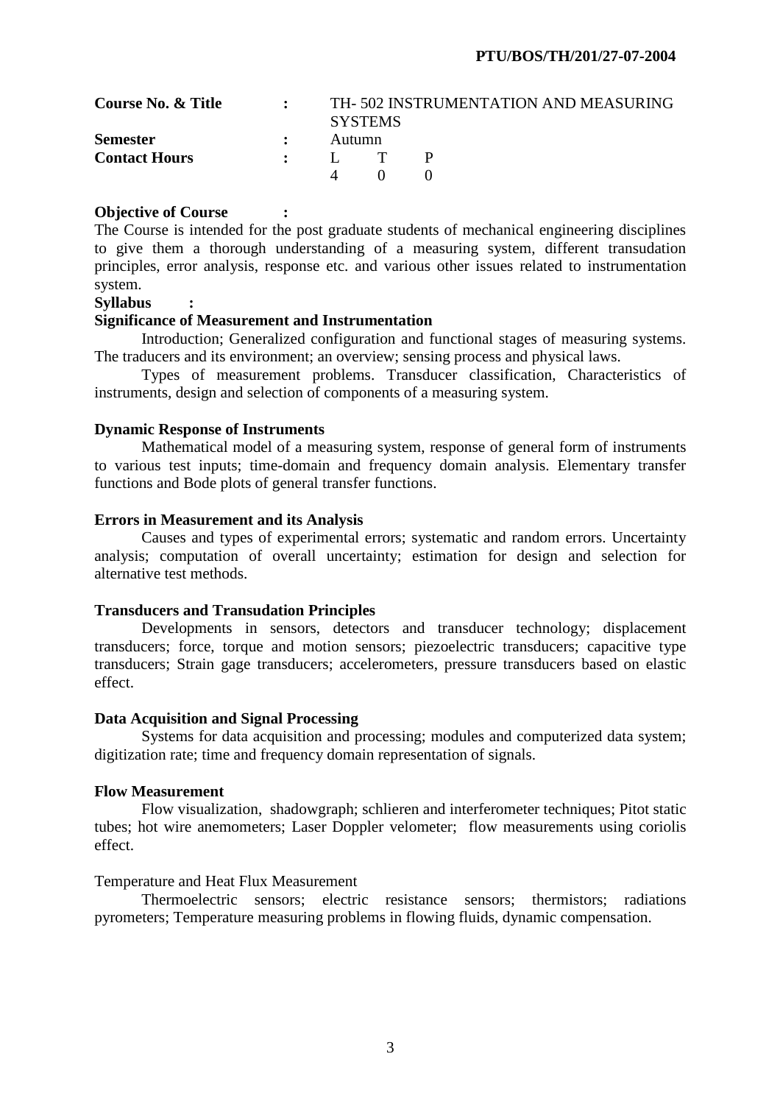| <b>Course No. &amp; Title</b> | $\bullet$ and $\bullet$ |                 | <b>SYSTEMS</b> | TH-502 INSTRUMENTATION AND MEASURING |
|-------------------------------|-------------------------|-----------------|----------------|--------------------------------------|
| <b>Semester</b>               | $\mathbf{L}$            | Autumn          |                |                                      |
| <b>Contact Hours</b>          |                         | $\cdot$ I. T. P |                |                                      |
|                               |                         |                 | $\mathbf{O}$   |                                      |

The Course is intended for the post graduate students of mechanical engineering disciplines to give them a thorough understanding of a measuring system, different transudation principles, error analysis, response etc. and various other issues related to instrumentation system.

# **Syllabus :**

## **Significance of Measurement and Instrumentation**

 Introduction; Generalized configuration and functional stages of measuring systems. The traducers and its environment; an overview; sensing process and physical laws.

 Types of measurement problems. Transducer classification, Characteristics of instruments, design and selection of components of a measuring system.

## **Dynamic Response of Instruments**

 Mathematical model of a measuring system, response of general form of instruments to various test inputs; time-domain and frequency domain analysis. Elementary transfer functions and Bode plots of general transfer functions.

## **Errors in Measurement and its Analysis**

 Causes and types of experimental errors; systematic and random errors. Uncertainty analysis; computation of overall uncertainty; estimation for design and selection for alternative test methods.

## **Transducers and Transudation Principles**

 Developments in sensors, detectors and transducer technology; displacement transducers; force, torque and motion sensors; piezoelectric transducers; capacitive type transducers; Strain gage transducers; accelerometers, pressure transducers based on elastic effect.

#### **Data Acquisition and Signal Processing**

 Systems for data acquisition and processing; modules and computerized data system; digitization rate; time and frequency domain representation of signals.

#### **Flow Measurement**

 Flow visualization, shadowgraph; schlieren and interferometer techniques; Pitot static tubes; hot wire anemometers; Laser Doppler velometer; flow measurements using coriolis effect.

# Temperature and Heat Flux Measurement

 Thermoelectric sensors; electric resistance sensors; thermistors; radiations pyrometers; Temperature measuring problems in flowing fluids, dynamic compensation.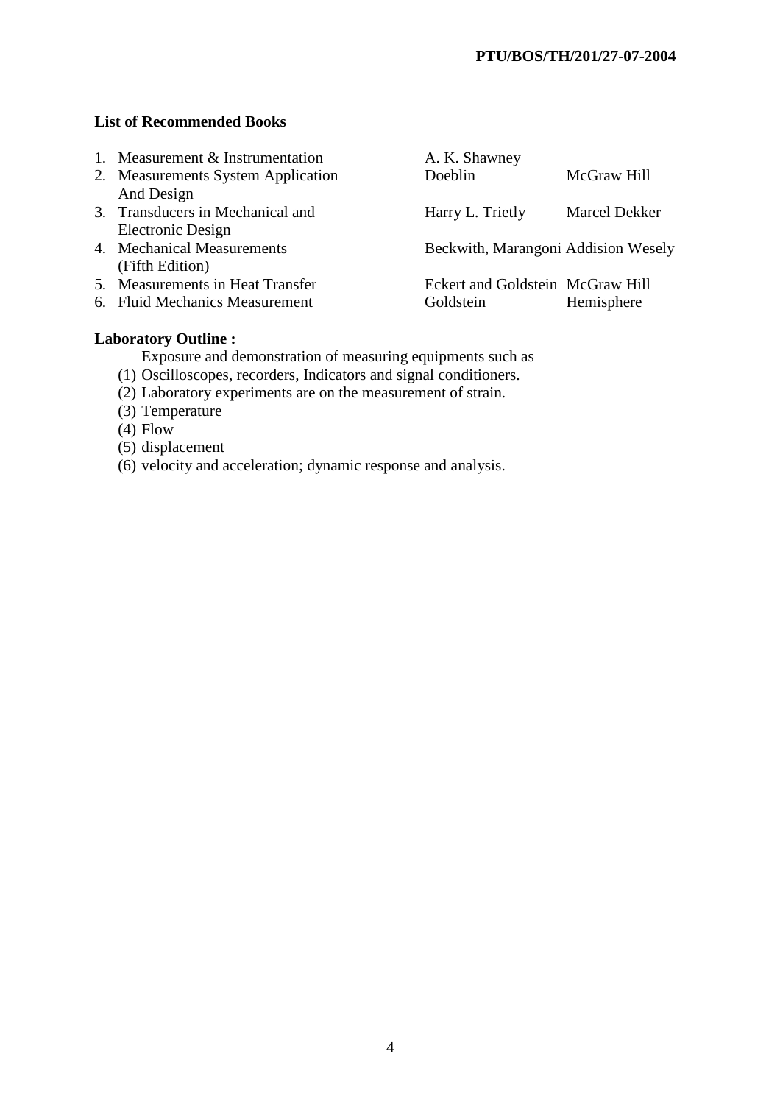# **List of Recommended Books**

- 1. Measurement & Instrumentation A. K. Shawney
- And Design
- Electronic Design
- 
- (Fifth Edition)<br>5. Measurements in Heat Transfer
- 
- 2. Measurements System Application Doeblin McGraw Hill 3. Transducers in Mechanical and Harry L. Trietly Marcel Dekker 4. Mechanical Measurements Beckwith, Marangoni Addision Wesely Eckert and Goldstein McGraw Hill 6. Fluid Mechanics Measurement Goldstein Hemisphere

# **Laboratory Outline :**

Exposure and demonstration of measuring equipments such as

- (1) Oscilloscopes, recorders, Indicators and signal conditioners.
- (2) Laboratory experiments are on the measurement of strain.
- (3) Temperature
- (4) Flow
- (5) displacement
- (6) velocity and acceleration; dynamic response and analysis.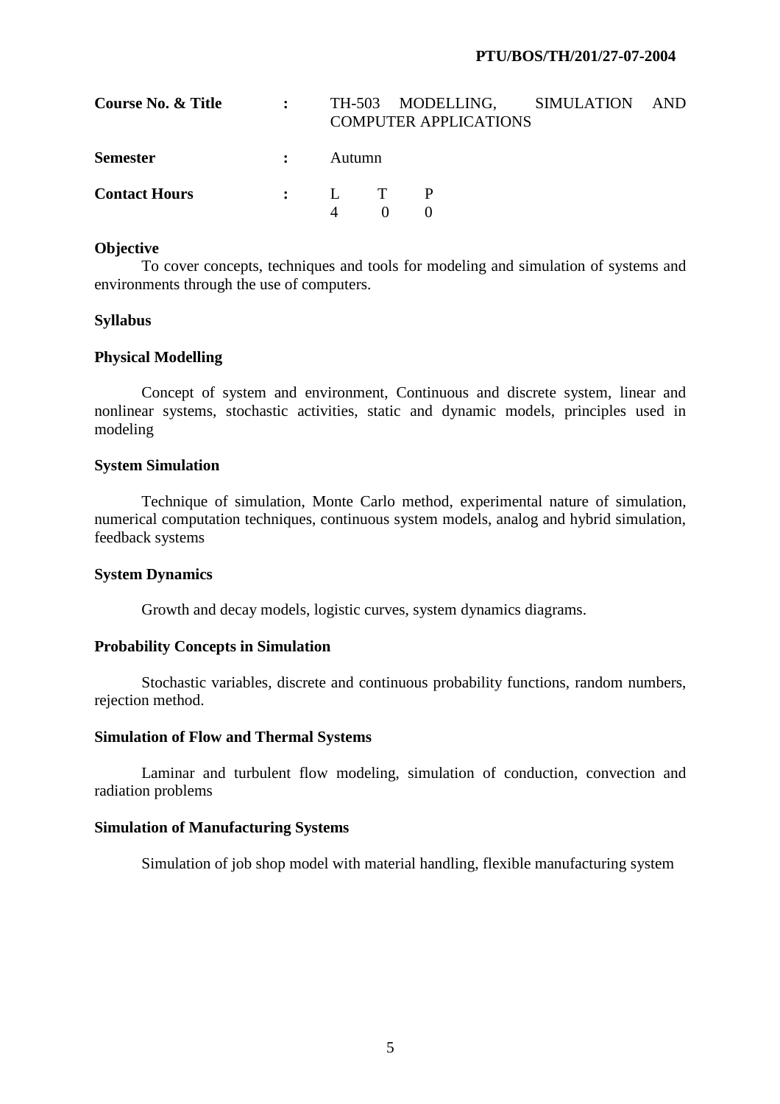| Course No. & Title   |                |        | <b>COMPUTER APPLICATIONS</b> | TH-503 MODELLING, SIMULATION | AND |
|----------------------|----------------|--------|------------------------------|------------------------------|-----|
| <b>Semester</b>      | $\ddot{\cdot}$ | Autumn |                              |                              |     |
| <b>Contact Hours</b> |                |        |                              |                              |     |
|                      |                |        |                              |                              |     |

#### **Objective**

 To cover concepts, techniques and tools for modeling and simulation of systems and environments through the use of computers.

#### **Syllabus**

#### **Physical Modelling**

 Concept of system and environment, Continuous and discrete system, linear and nonlinear systems, stochastic activities, static and dynamic models, principles used in modeling

# **System Simulation**

 Technique of simulation, Monte Carlo method, experimental nature of simulation, numerical computation techniques, continuous system models, analog and hybrid simulation, feedback systems

#### **System Dynamics**

Growth and decay models, logistic curves, system dynamics diagrams.

#### **Probability Concepts in Simulation**

 Stochastic variables, discrete and continuous probability functions, random numbers, rejection method.

#### **Simulation of Flow and Thermal Systems**

 Laminar and turbulent flow modeling, simulation of conduction, convection and radiation problems

## **Simulation of Manufacturing Systems**

Simulation of job shop model with material handling, flexible manufacturing system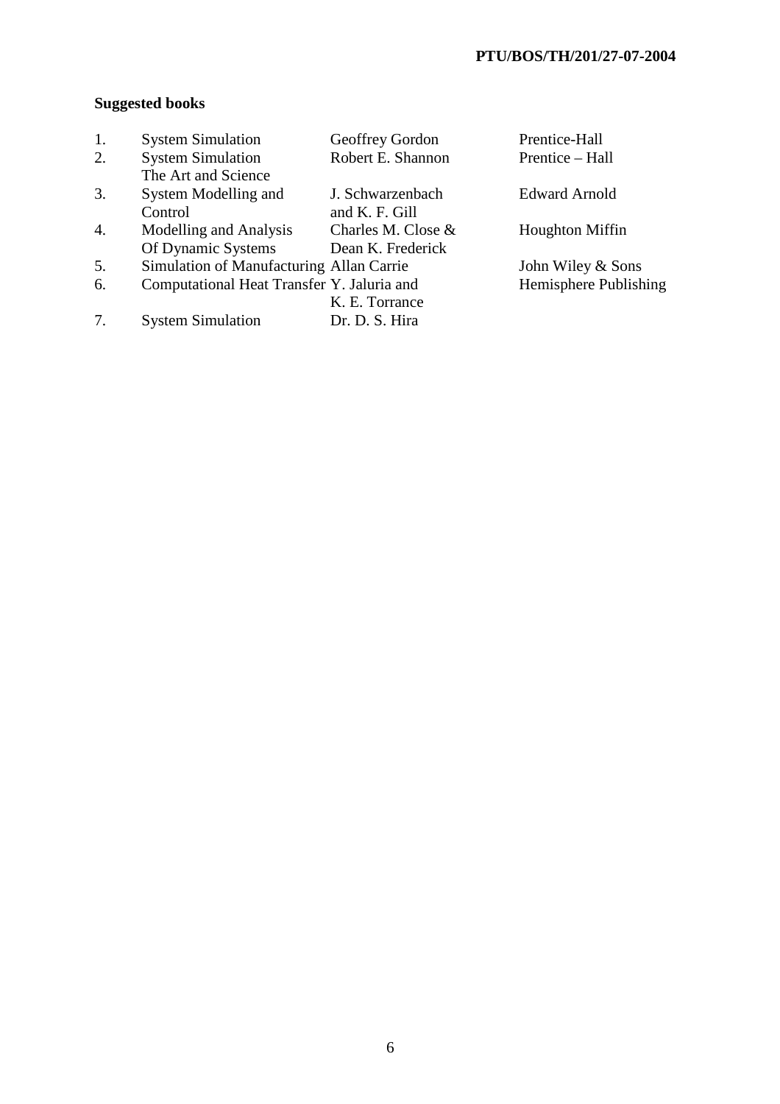# **Suggested books**

| 1. | <b>System Simulation</b>                   | Geoffrey Gordon    | Prentice-Hall          |
|----|--------------------------------------------|--------------------|------------------------|
| 2. | <b>System Simulation</b>                   | Robert E. Shannon  | Prentice – Hall        |
|    | The Art and Science                        |                    |                        |
| 3. | System Modelling and                       | J. Schwarzenbach   | <b>Edward Arnold</b>   |
|    | Control                                    | and K. F. Gill     |                        |
| 4. | Modelling and Analysis                     | Charles M. Close & | <b>Houghton Miffin</b> |
|    | Of Dynamic Systems                         | Dean K. Frederick  |                        |
| 5. | Simulation of Manufacturing Allan Carrie   |                    | John Wiley & Sons      |
| 6. | Computational Heat Transfer Y. Jaluria and |                    | Hemisphere Publishing  |
|    |                                            | K. E. Torrance     |                        |
|    | <b>System Simulation</b>                   | Dr. D. S. Hira     |                        |
|    |                                            |                    |                        |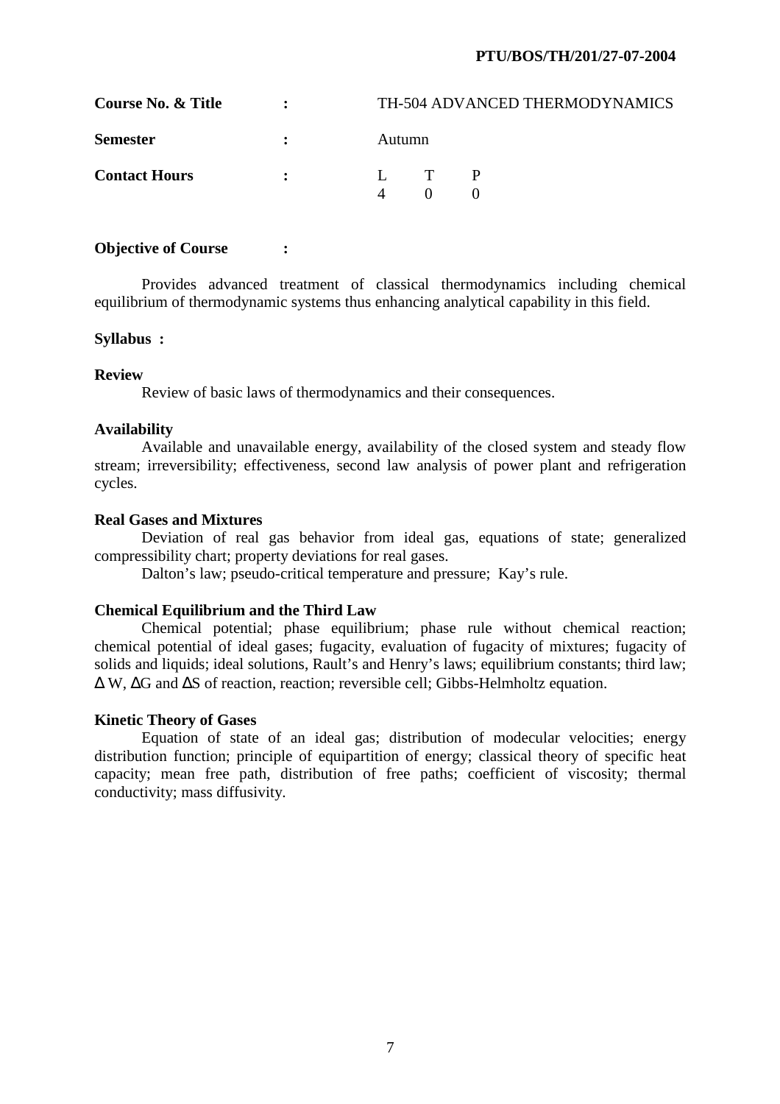# **PTU/BOS/TH/201/27-07-2004**

| Course No. & Title   | $\mathbf{r}$                  | TH-504 ADVANCED THERMODYNAMICS |
|----------------------|-------------------------------|--------------------------------|
| <b>Semester</b>      | $\mathbf{r}$                  | Autumn                         |
| <b>Contact Hours</b> | $\mathbf{R}$ and $\mathbf{R}$ | L T P                          |

## **Objective of Course : :**

 Provides advanced treatment of classical thermodynamics including chemical equilibrium of thermodynamic systems thus enhancing analytical capability in this field.

#### **Syllabus :**

## **Review**

Review of basic laws of thermodynamics and their consequences.

## **Availability**

 Available and unavailable energy, availability of the closed system and steady flow stream; irreversibility; effectiveness, second law analysis of power plant and refrigeration cycles.

## **Real Gases and Mixtures**

 Deviation of real gas behavior from ideal gas, equations of state; generalized compressibility chart; property deviations for real gases.

Dalton's law; pseudo-critical temperature and pressure; Kay's rule.

# **Chemical Equilibrium and the Third Law**

 Chemical potential; phase equilibrium; phase rule without chemical reaction; chemical potential of ideal gases; fugacity, evaluation of fugacity of mixtures; fugacity of solids and liquids; ideal solutions, Rault's and Henry's laws; equilibrium constants; third law; ∆ W, ∆G and ∆S of reaction, reaction; reversible cell; Gibbs-Helmholtz equation.

# **Kinetic Theory of Gases**

 Equation of state of an ideal gas; distribution of modecular velocities; energy distribution function; principle of equipartition of energy; classical theory of specific heat capacity; mean free path, distribution of free paths; coefficient of viscosity; thermal conductivity; mass diffusivity.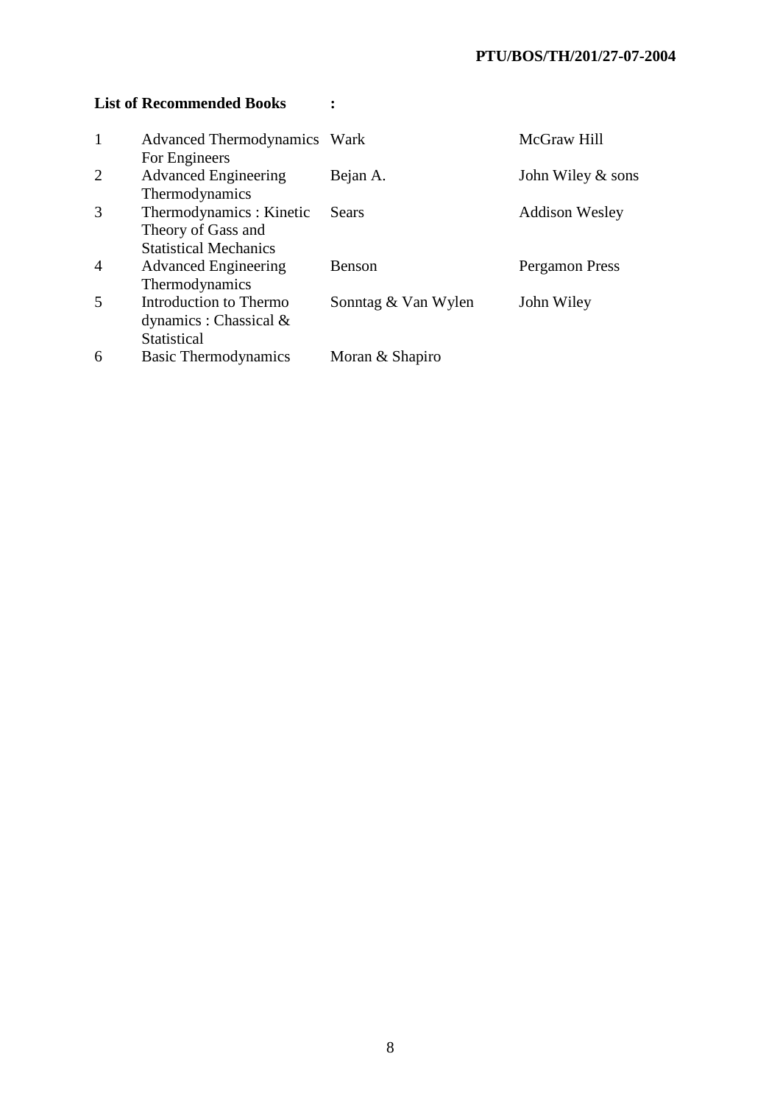# List of Recommended Books :

| $\mathbf{1}$   | <b>Advanced Thermodynamics Wark</b> |                     | McGraw Hill           |
|----------------|-------------------------------------|---------------------|-----------------------|
|                | For Engineers                       |                     |                       |
| 2              | <b>Advanced Engineering</b>         | Bejan A.            | John Wiley $\&$ sons  |
|                | Thermodynamics                      |                     |                       |
| 3              | Thermodynamics: Kinetic             | <b>Sears</b>        | <b>Addison Wesley</b> |
|                | Theory of Gass and                  |                     |                       |
|                | <b>Statistical Mechanics</b>        |                     |                       |
| $\overline{4}$ | <b>Advanced Engineering</b>         | Benson              | Pergamon Press        |
|                | Thermodynamics                      |                     |                       |
| 5              | Introduction to Thermo              | Sonntag & Van Wylen | John Wiley            |
|                | dynamics : Chassical $\&$           |                     |                       |
|                | Statistical                         |                     |                       |
| 6              | <b>Basic Thermodynamics</b>         | Moran & Shapiro     |                       |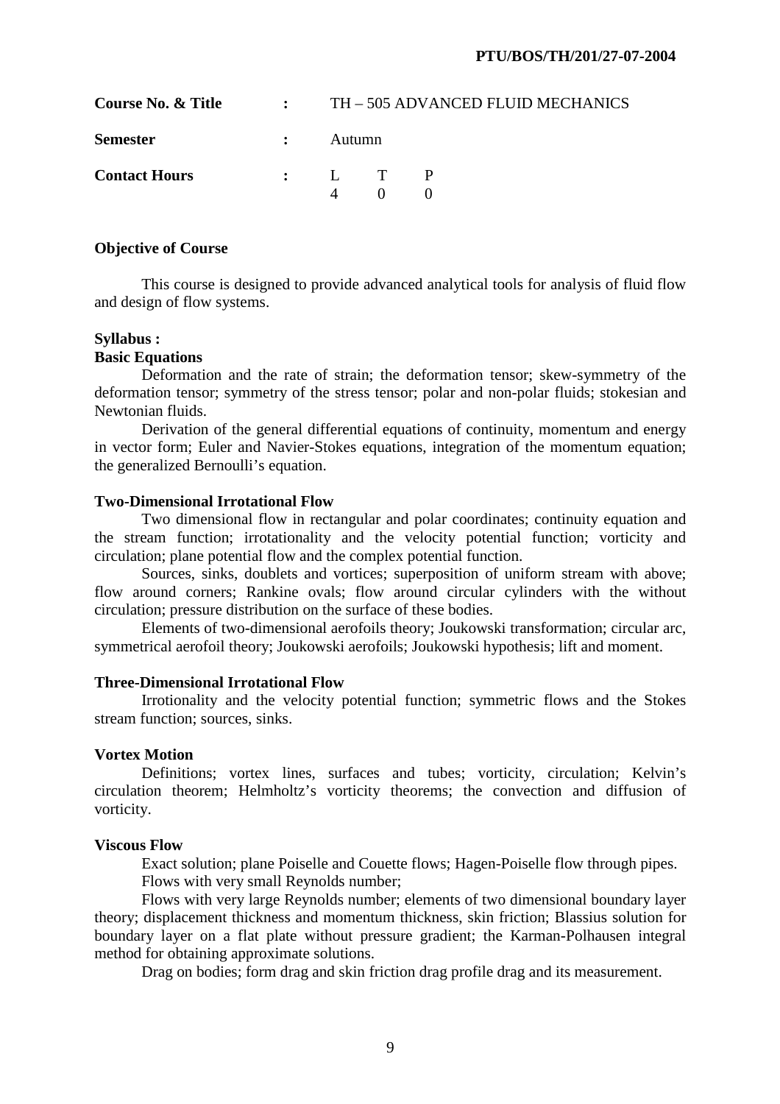| Course No. & Title   |              |                  |  | $\cdot$ TH $-505$ ADVANCED FLUID MECHANICS |
|----------------------|--------------|------------------|--|--------------------------------------------|
| <b>Semester</b>      | $\mathbf{r}$ | Autumn           |  |                                            |
| <b>Contact Hours</b> |              | $\vdots$ $L$ T P |  |                                            |

 This course is designed to provide advanced analytical tools for analysis of fluid flow and design of flow systems.

# **Syllabus :**

# **Basic Equations**

 Deformation and the rate of strain; the deformation tensor; skew-symmetry of the deformation tensor; symmetry of the stress tensor; polar and non-polar fluids; stokesian and Newtonian fluids.

 Derivation of the general differential equations of continuity, momentum and energy in vector form; Euler and Navier-Stokes equations, integration of the momentum equation; the generalized Bernoulli's equation.

## **Two-Dimensional Irrotational Flow**

 Two dimensional flow in rectangular and polar coordinates; continuity equation and the stream function; irrotationality and the velocity potential function; vorticity and circulation; plane potential flow and the complex potential function.

 Sources, sinks, doublets and vortices; superposition of uniform stream with above; flow around corners; Rankine ovals; flow around circular cylinders with the without circulation; pressure distribution on the surface of these bodies.

 Elements of two-dimensional aerofoils theory; Joukowski transformation; circular arc, symmetrical aerofoil theory; Joukowski aerofoils; Joukowski hypothesis; lift and moment.

#### **Three-Dimensional Irrotational Flow**

 Irrotionality and the velocity potential function; symmetric flows and the Stokes stream function; sources, sinks.

# **Vortex Motion**

 Definitions; vortex lines, surfaces and tubes; vorticity, circulation; Kelvin's circulation theorem; Helmholtz's vorticity theorems; the convection and diffusion of vorticity.

# **Viscous Flow**

 Exact solution; plane Poiselle and Couette flows; Hagen-Poiselle flow through pipes. Flows with very small Reynolds number;

 Flows with very large Reynolds number; elements of two dimensional boundary layer theory; displacement thickness and momentum thickness, skin friction; Blassius solution for boundary layer on a flat plate without pressure gradient; the Karman-Polhausen integral method for obtaining approximate solutions.

Drag on bodies; form drag and skin friction drag profile drag and its measurement.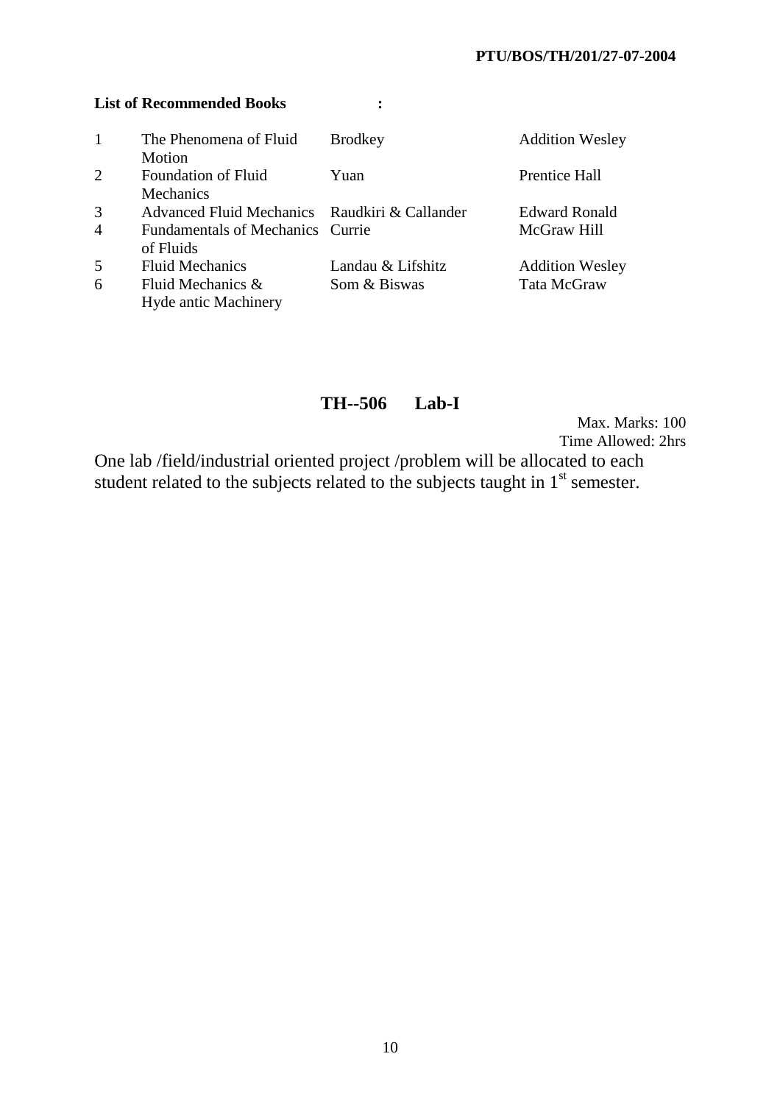# **List of Recommended Books :**

| 1              | The Phenomena of Fluid                        | <b>Brodkey</b>    | <b>Addition Wesley</b> |
|----------------|-----------------------------------------------|-------------------|------------------------|
|                | Motion                                        |                   |                        |
| $\overline{2}$ | <b>Foundation of Fluid</b>                    | Yuan              | <b>Prentice Hall</b>   |
|                | <b>Mechanics</b>                              |                   |                        |
| 3              | Advanced Fluid Mechanics Raudkiri & Callander |                   | <b>Edward Ronald</b>   |
| 4              | Fundamentals of Mechanics Currie              |                   | McGraw Hill            |
|                | of Fluids                                     |                   |                        |
| 5              | <b>Fluid Mechanics</b>                        | Landau & Lifshitz | <b>Addition Wesley</b> |
| 6              | Fluid Mechanics &                             | Som & Biswas      | Tata McGraw            |
|                | <b>Hyde antic Machinery</b>                   |                   |                        |

# **TH--506 Lab-I**

Max. Marks: 100 Time Allowed: 2hrs

One lab /field/industrial oriented project /problem will be allocated to each student related to the subjects related to the subjects taught in 1<sup>st</sup> semester.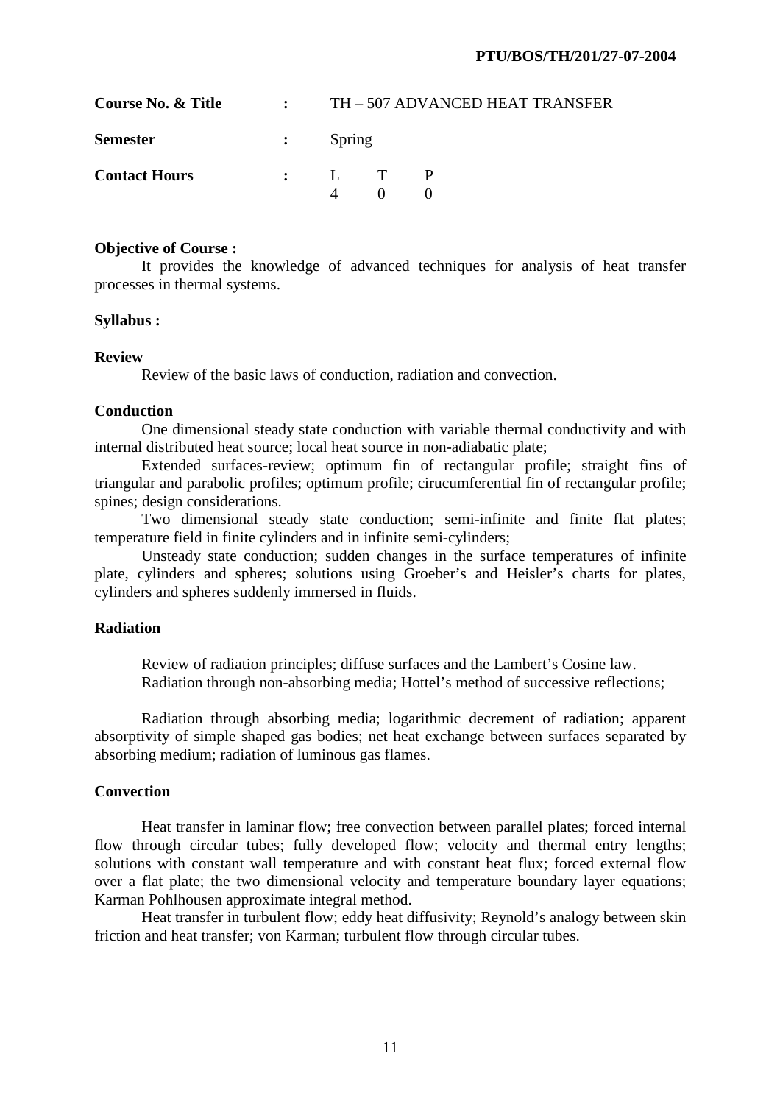| Course No. & Title   | $\mathbf{r}$  |                  | TH - 507 ADVANCED HEAT TRANSFER |  |  |  |
|----------------------|---------------|------------------|---------------------------------|--|--|--|
| <b>Semester</b>      | $\mathcal{L}$ | Spring           |                                 |  |  |  |
| <b>Contact Hours</b> |               | $\vdots$ $L$ T P |                                 |  |  |  |

 It provides the knowledge of advanced techniques for analysis of heat transfer processes in thermal systems.

#### **Syllabus :**

#### **Review**

Review of the basic laws of conduction, radiation and convection.

#### **Conduction**

 One dimensional steady state conduction with variable thermal conductivity and with internal distributed heat source; local heat source in non-adiabatic plate;

 Extended surfaces-review; optimum fin of rectangular profile; straight fins of triangular and parabolic profiles; optimum profile; cirucumferential fin of rectangular profile; spines; design considerations.

 Two dimensional steady state conduction; semi-infinite and finite flat plates; temperature field in finite cylinders and in infinite semi-cylinders;

 Unsteady state conduction; sudden changes in the surface temperatures of infinite plate, cylinders and spheres; solutions using Groeber's and Heisler's charts for plates, cylinders and spheres suddenly immersed in fluids.

#### **Radiation**

 Review of radiation principles; diffuse surfaces and the Lambert's Cosine law. Radiation through non-absorbing media; Hottel's method of successive reflections;

 Radiation through absorbing media; logarithmic decrement of radiation; apparent absorptivity of simple shaped gas bodies; net heat exchange between surfaces separated by absorbing medium; radiation of luminous gas flames.

#### **Convection**

 Heat transfer in laminar flow; free convection between parallel plates; forced internal flow through circular tubes; fully developed flow; velocity and thermal entry lengths; solutions with constant wall temperature and with constant heat flux; forced external flow over a flat plate; the two dimensional velocity and temperature boundary layer equations; Karman Pohlhousen approximate integral method.

 Heat transfer in turbulent flow; eddy heat diffusivity; Reynold's analogy between skin friction and heat transfer; von Karman; turbulent flow through circular tubes.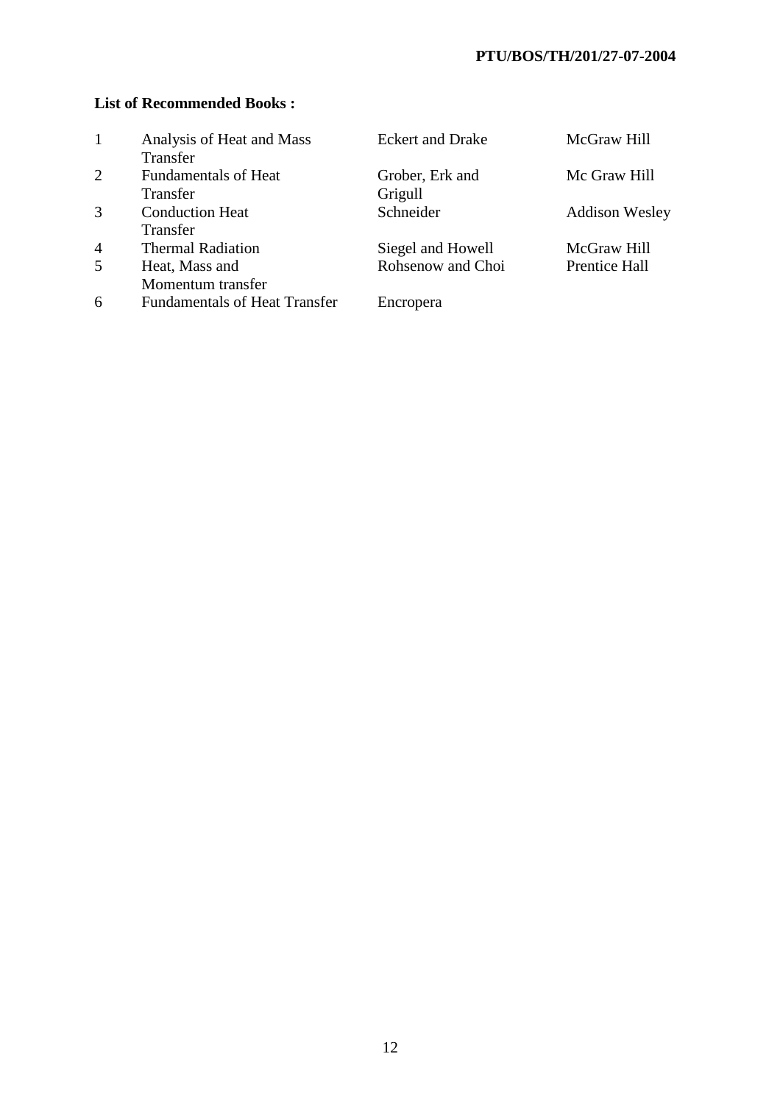# **PTU/BOS/TH/201/27-07-2004**

# **List of Recommended Books :**

| $\mathbf{1}$   | Analysis of Heat and Mass<br>Transfer | <b>Eckert and Drake</b> | McGraw Hill           |
|----------------|---------------------------------------|-------------------------|-----------------------|
| 2              | <b>Fundamentals of Heat</b>           | Grober, Erk and         | Mc Graw Hill          |
|                | Transfer                              | Grigull                 |                       |
| 3              | <b>Conduction Heat</b>                | Schneider               | <b>Addison Wesley</b> |
|                | Transfer                              |                         |                       |
| $\overline{4}$ | <b>Thermal Radiation</b>              | Siegel and Howell       | McGraw Hill           |
| 5 <sup>5</sup> | Heat, Mass and                        | Rohsenow and Choi       | Prentice Hall         |
|                | Momentum transfer                     |                         |                       |
| 6              | <b>Fundamentals of Heat Transfer</b>  | Encropera               |                       |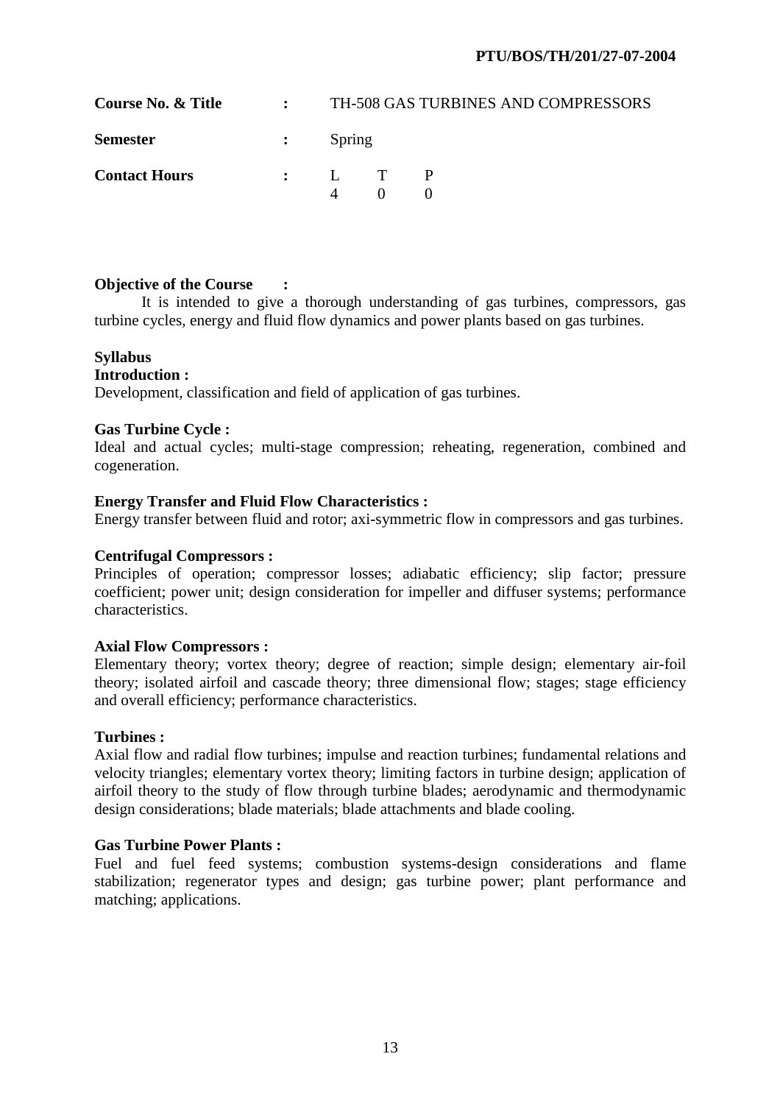| <b>Course No. &amp; Title</b> | $\mathbf{r}$ |                                           | TH-508 GAS TURBINES AND COMPRESSORS |
|-------------------------------|--------------|-------------------------------------------|-------------------------------------|
| <b>Semester</b>               |              | $\mathbf{S}$ $\mathbf{P}_{\text{string}}$ |                                     |
| <b>Contact Hours</b>          |              | $\mathbf{P}$ . I. T. P                    |                                     |

# **Objective of the Course :**

 It is intended to give a thorough understanding of gas turbines, compressors, gas turbine cycles, energy and fluid flow dynamics and power plants based on gas turbines.

# **Syllabus**

# **Introduction :**

Development, classification and field of application of gas turbines.

## **Gas Turbine Cycle :**

Ideal and actual cycles; multi-stage compression; reheating, regeneration, combined and cogeneration.

## **Energy Transfer and Fluid Flow Characteristics :**

Energy transfer between fluid and rotor; axi-symmetric flow in compressors and gas turbines.

### **Centrifugal Compressors :**

Principles of operation; compressor losses; adiabatic efficiency; slip factor; pressure coefficient; power unit; design consideration for impeller and diffuser systems; performance characteristics.

#### **Axial Flow Compressors :**

Elementary theory; vortex theory; degree of reaction; simple design; elementary air-foil theory; isolated airfoil and cascade theory; three dimensional flow; stages; stage efficiency and overall efficiency; performance characteristics.

#### **Turbines :**

Axial flow and radial flow turbines; impulse and reaction turbines; fundamental relations and velocity triangles; elementary vortex theory; limiting factors in turbine design; application of airfoil theory to the study of flow through turbine blades; aerodynamic and thermodynamic design considerations; blade materials; blade attachments and blade cooling.

# **Gas Turbine Power Plants :**

Fuel and fuel feed systems; combustion systems-design considerations and flame stabilization; regenerator types and design; gas turbine power; plant performance and matching; applications.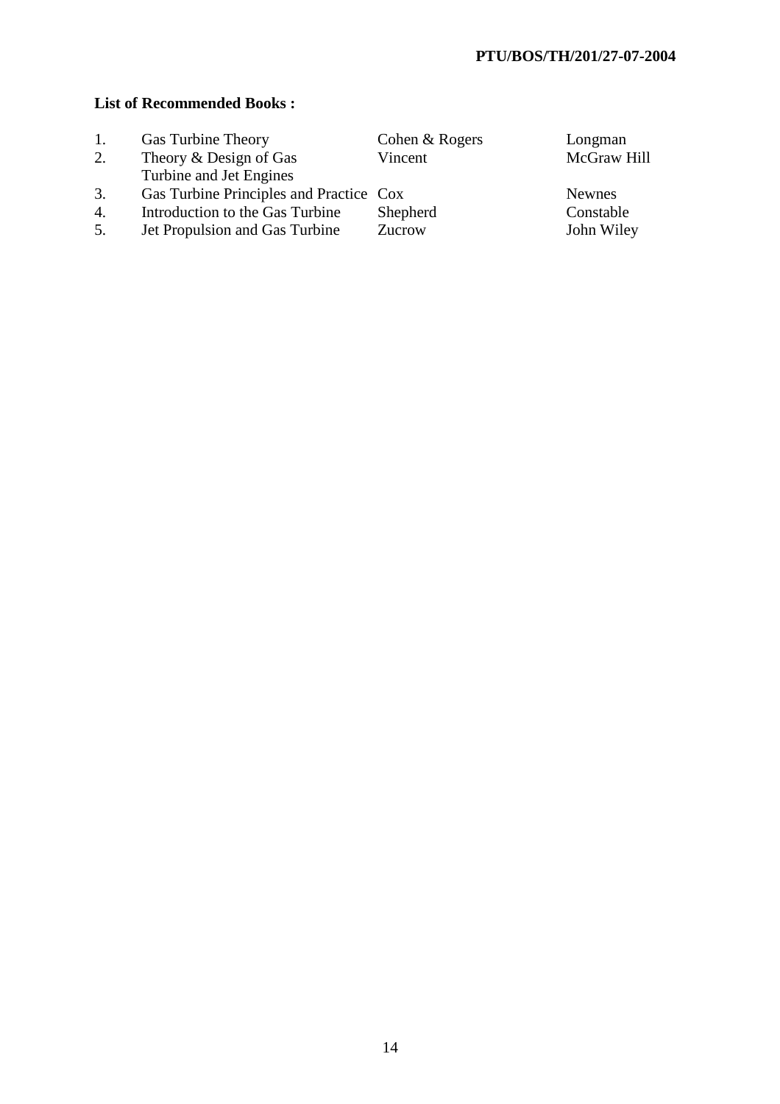# **List of Recommended Books :**

| 1. | Gas Turbine Theory                      | Cohen & Rogers | Longman       |
|----|-----------------------------------------|----------------|---------------|
| 2. | Theory & Design of Gas                  | Vincent        | McGraw        |
|    | Turbine and Jet Engines                 |                |               |
| 3. | Gas Turbine Principles and Practice Cox |                | <b>Newnes</b> |
| 4. | Introduction to the Gas Turbine         | Shepherd       | Constabl      |
| 5. | Jet Propulsion and Gas Turbine          | Zucrow         | John Wi       |

Longman McGraw Hill

Constable<br>John Wiley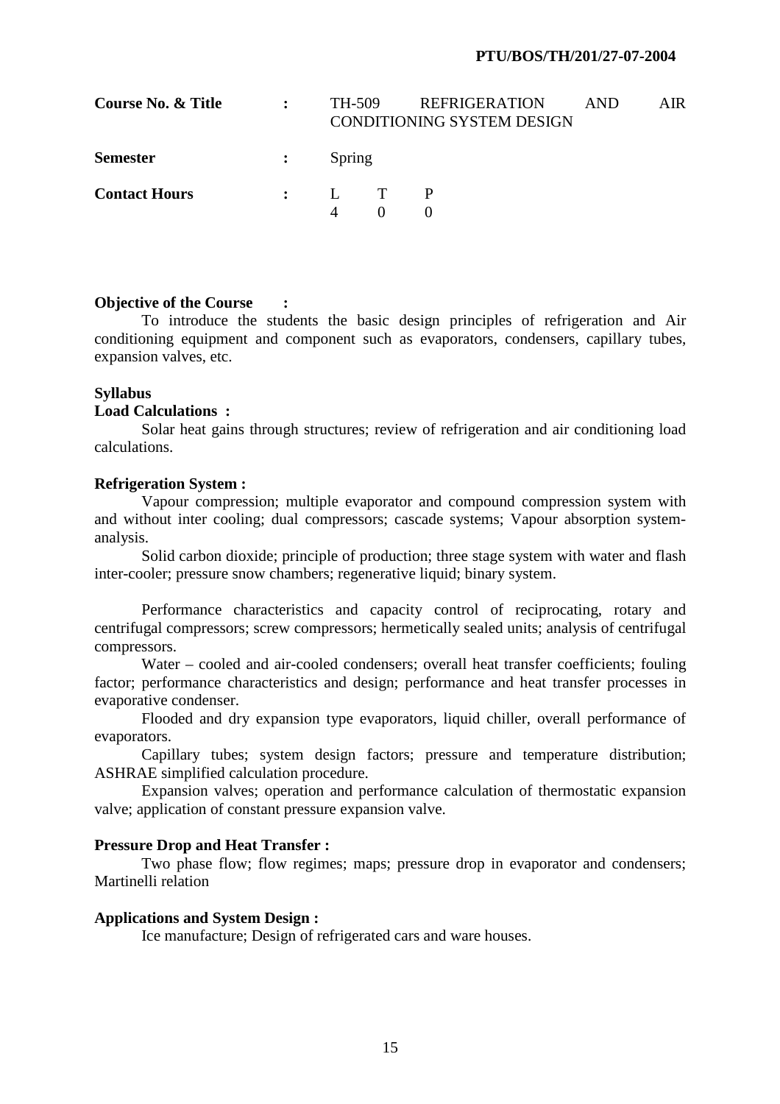#### **PTU/BOS/TH/201/27-07-2004**

| Course No. & Title   | $\ddot{\cdot}$ | <b>REFRIGERATION</b><br>TH-509<br><b>CONDITIONING SYSTEM DESIGN</b> |  | <b>AND</b> | AIR. |
|----------------------|----------------|---------------------------------------------------------------------|--|------------|------|
| <b>Semester</b>      | $\ddot{\cdot}$ | Spring                                                              |  |            |      |
| <b>Contact Hours</b> |                | $\mathbf{L}$ T<br>$\Delta$                                          |  |            |      |

#### **Objective of the Course :**

 To introduce the students the basic design principles of refrigeration and Air conditioning equipment and component such as evaporators, condensers, capillary tubes, expansion valves, etc.

#### **Syllabus**

#### **Load Calculations :**

Solar heat gains through structures; review of refrigeration and air conditioning load calculations.

#### **Refrigeration System :**

Vapour compression; multiple evaporator and compound compression system with and without inter cooling; dual compressors; cascade systems; Vapour absorption systemanalysis.

Solid carbon dioxide; principle of production; three stage system with water and flash inter-cooler; pressure snow chambers; regenerative liquid; binary system.

Performance characteristics and capacity control of reciprocating, rotary and centrifugal compressors; screw compressors; hermetically sealed units; analysis of centrifugal compressors.

Water – cooled and air-cooled condensers; overall heat transfer coefficients; fouling factor; performance characteristics and design; performance and heat transfer processes in evaporative condenser.

Flooded and dry expansion type evaporators, liquid chiller, overall performance of evaporators.

Capillary tubes; system design factors; pressure and temperature distribution; ASHRAE simplified calculation procedure.

Expansion valves; operation and performance calculation of thermostatic expansion valve; application of constant pressure expansion valve.

#### **Pressure Drop and Heat Transfer :**

 Two phase flow; flow regimes; maps; pressure drop in evaporator and condensers; Martinelli relation

#### **Applications and System Design :**

Ice manufacture; Design of refrigerated cars and ware houses.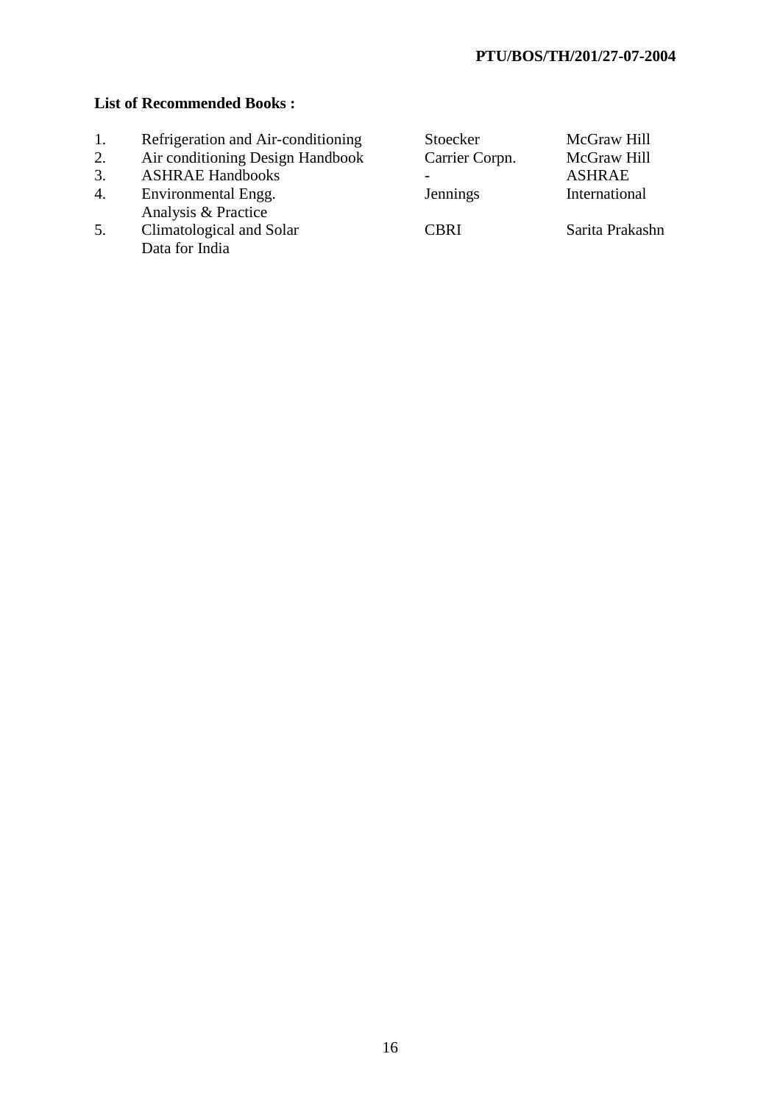# **List of Recommended Books :**

- 1. Refrigeration and Air-conditioning<br>2. Air conditioning Design Handbook
- 2. Air conditioning Design Handbook<br>3. ASHRAE Handbooks
- ASHRAE Handbooks
- 4. Environmental Engg. Analysis & Practice
- Data for India

| 1. | Refrigeration and Air-conditioning | Stoecker       | McGraw Hill     |
|----|------------------------------------|----------------|-----------------|
| 2. | Air conditioning Design Handbook   | Carrier Corpn. | McGraw Hill     |
| 3. | <b>ASHRAE Handbooks</b>            |                | <b>ASHRAE</b>   |
| 4. | Environmental Engg.                | Jennings       | International   |
|    | Analysis & Practice                |                |                 |
| 5. | Climatological and Solar           | <b>CBRI</b>    | Sarita Prakashn |
|    | Data for India                     |                |                 |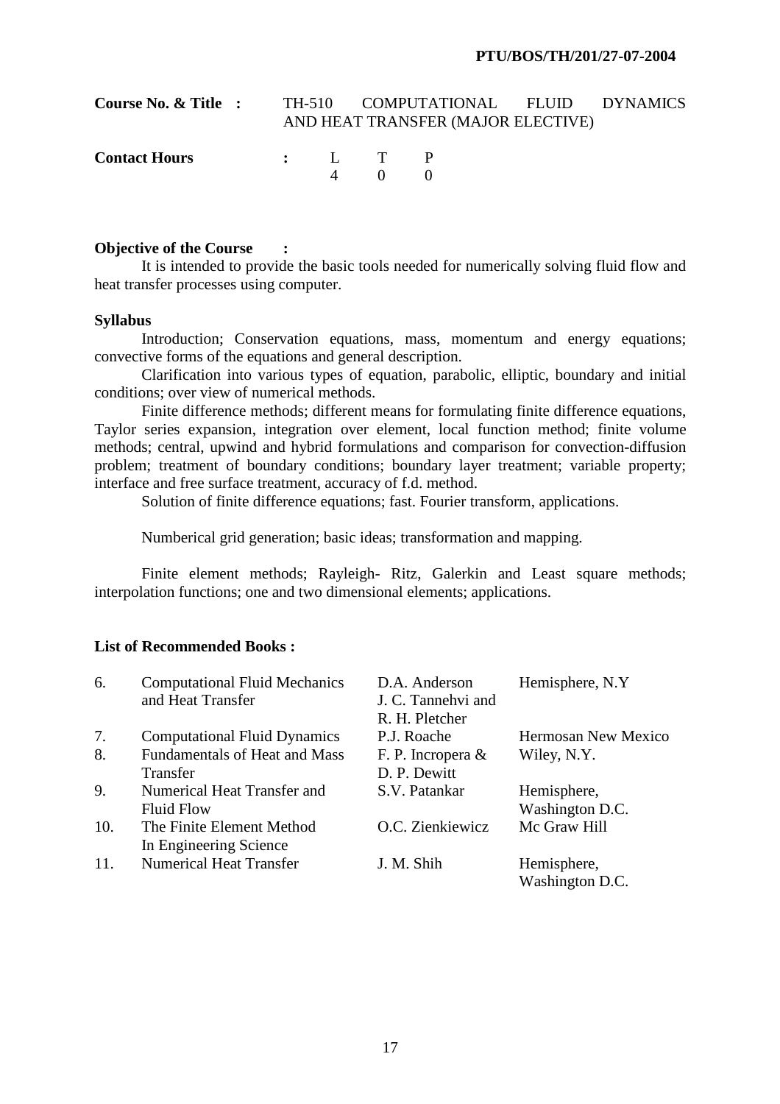| Course No. & Title : |  |                  | TH-510 COMPUTATIONAL FLUID DYNAMICS<br>AND HEAT TRANSFER (MAJOR ELECTIVE) |  |
|----------------------|--|------------------|---------------------------------------------------------------------------|--|
| <b>Contact Hours</b> |  | : L T P<br>4 0 0 |                                                                           |  |

### **Objective of the Course :**

 It is intended to provide the basic tools needed for numerically solving fluid flow and heat transfer processes using computer.

#### **Syllabus**

 Introduction; Conservation equations, mass, momentum and energy equations; convective forms of the equations and general description.

 Clarification into various types of equation, parabolic, elliptic, boundary and initial conditions; over view of numerical methods.

Finite difference methods; different means for formulating finite difference equations, Taylor series expansion, integration over element, local function method; finite volume methods; central, upwind and hybrid formulations and comparison for convection-diffusion problem; treatment of boundary conditions; boundary layer treatment; variable property; interface and free surface treatment, accuracy of f.d. method.

Solution of finite difference equations; fast. Fourier transform, applications.

Numberical grid generation; basic ideas; transformation and mapping.

 Finite element methods; Rayleigh- Ritz, Galerkin and Least square methods; interpolation functions; one and two dimensional elements; applications.

# **List of Recommended Books :**

| 6.  | <b>Computational Fluid Mechanics</b> | D.A. Anderson        | Hemisphere, N.Y.           |
|-----|--------------------------------------|----------------------|----------------------------|
|     | and Heat Transfer                    | J. C. Tannehvi and   |                            |
|     |                                      | R. H. Pletcher       |                            |
| 7.  | <b>Computational Fluid Dynamics</b>  | P.J. Roache          | <b>Hermosan New Mexico</b> |
| 8.  | <b>Fundamentals of Heat and Mass</b> | F. P. Incropera $\&$ | Wiley, N.Y.                |
|     | Transfer                             | D. P. Dewitt         |                            |
| 9.  | Numerical Heat Transfer and          | S.V. Patankar        | Hemisphere,                |
|     | <b>Fluid Flow</b>                    |                      | Washington D.C.            |
| 10. | The Finite Element Method            | O.C. Zienkiewicz     | Mc Graw Hill               |
|     | In Engineering Science               |                      |                            |
| 11. | <b>Numerical Heat Transfer</b>       | J. M. Shih           | Hemisphere,                |
|     |                                      |                      | Washington D.C.            |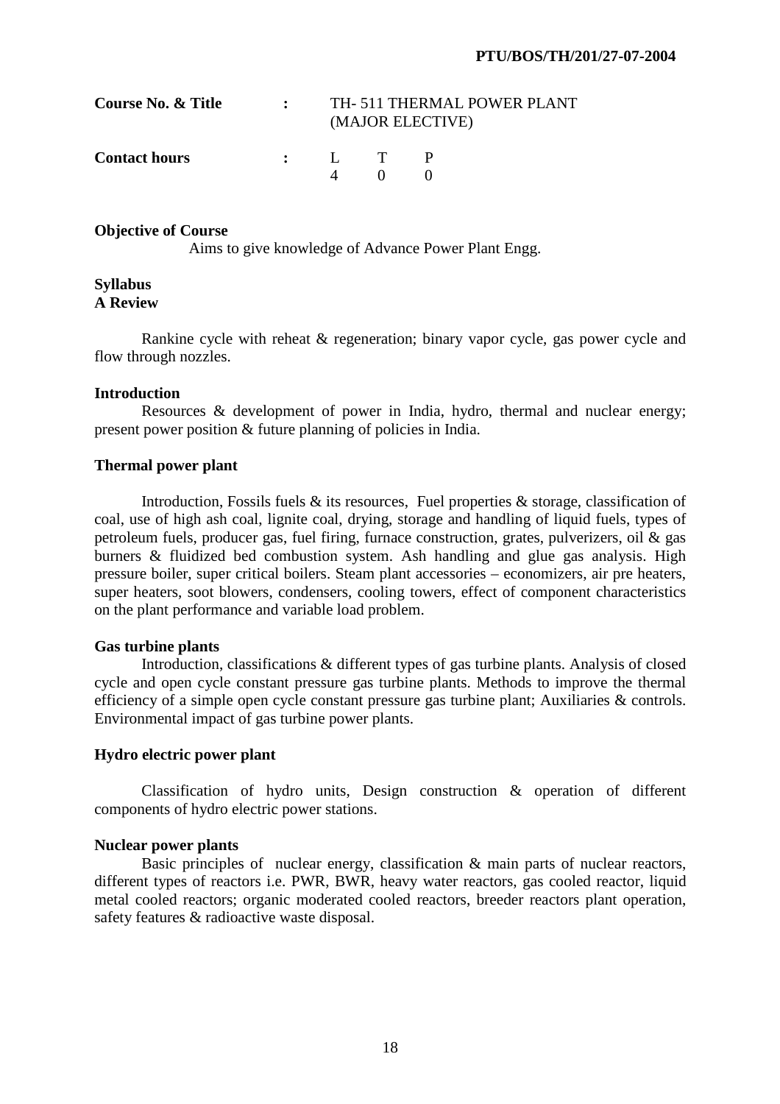| Course No. & Title   | TH-511 THERMAL POWER PLANT<br>(MAJOR ELECTIVE) |     |  |
|----------------------|------------------------------------------------|-----|--|
| <b>Contact hours</b> | $\cdot$ . I. T.                                | - 0 |  |

Aims to give knowledge of Advance Power Plant Engg.

#### **Syllabus A Review**

 Rankine cycle with reheat & regeneration; binary vapor cycle, gas power cycle and flow through nozzles.

## **Introduction**

 Resources & development of power in India, hydro, thermal and nuclear energy; present power position & future planning of policies in India.

# **Thermal power plant**

Introduction, Fossils fuels  $\&$  its resources, Fuel properties  $\&$  storage, classification of coal, use of high ash coal, lignite coal, drying, storage and handling of liquid fuels, types of petroleum fuels, producer gas, fuel firing, furnace construction, grates, pulverizers, oil & gas burners & fluidized bed combustion system. Ash handling and glue gas analysis. High pressure boiler, super critical boilers. Steam plant accessories – economizers, air pre heaters, super heaters, soot blowers, condensers, cooling towers, effect of component characteristics on the plant performance and variable load problem.

#### **Gas turbine plants**

 Introduction, classifications & different types of gas turbine plants. Analysis of closed cycle and open cycle constant pressure gas turbine plants. Methods to improve the thermal efficiency of a simple open cycle constant pressure gas turbine plant; Auxiliaries & controls. Environmental impact of gas turbine power plants.

# **Hydro electric power plant**

 Classification of hydro units, Design construction & operation of different components of hydro electric power stations.

# **Nuclear power plants**

 Basic principles of nuclear energy, classification & main parts of nuclear reactors, different types of reactors i.e. PWR, BWR, heavy water reactors, gas cooled reactor, liquid metal cooled reactors; organic moderated cooled reactors, breeder reactors plant operation, safety features & radioactive waste disposal.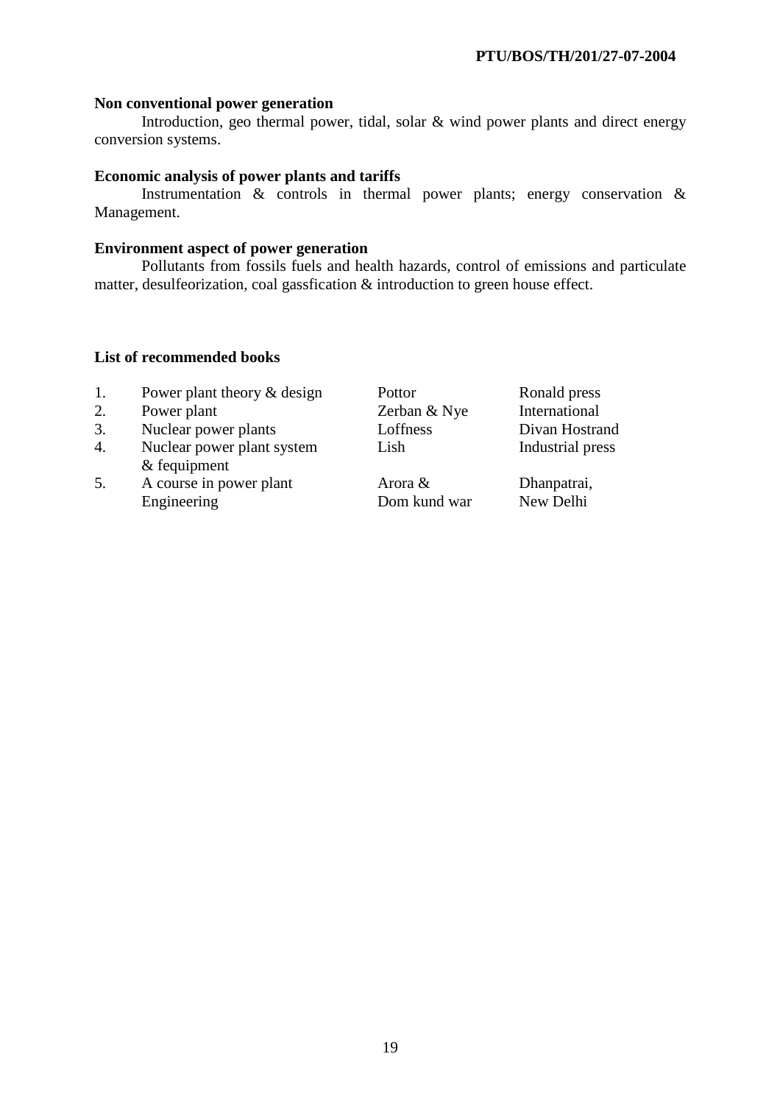## **Non conventional power generation**

 Introduction, geo thermal power, tidal, solar & wind power plants and direct energy conversion systems.

# **Economic analysis of power plants and tariffs**

 Instrumentation & controls in thermal power plants; energy conservation & Management.

### **Environment aspect of power generation**

 Pollutants from fossils fuels and health hazards, control of emissions and particulate matter, desulfeorization, coal gassfication & introduction to green house effect.

# **List of recommended books**

- 1. Power plant theory & design Pottor Ronald press<br>
2. Power plant 2. Ronald press<br>
2. Power plant 2. Ronald press<br>
2. Power plant
- 2. Power plant Zerban & Nye
- 3. Nuclear power plants Loffness Divan Hostrand
- 4. Nuclear power plant system Lish Industrial press & fequipment
- 5. A course in power plant Arora & Dhanpatrai, Engineering Dom kund war New Delhi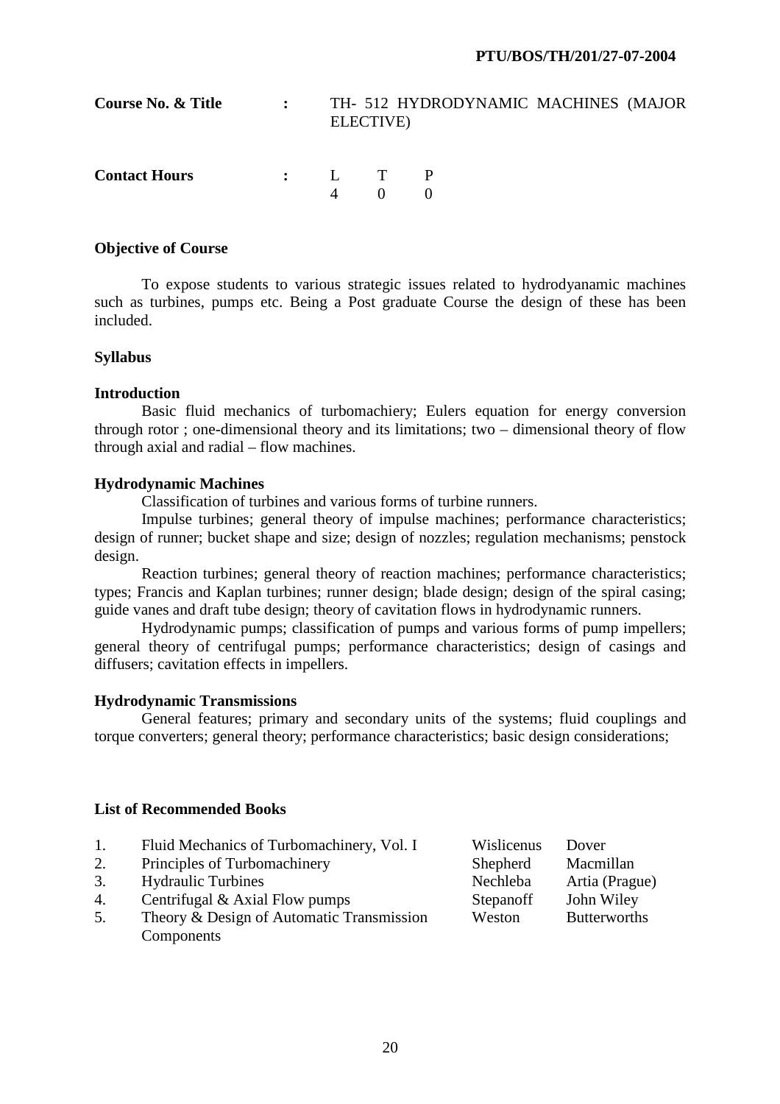| <b>Course No. &amp; Title</b> | $\mathbf{r}$ |                   | ELECTIVE)        | TH- 512 HYDRODYNAMIC MACHINES (MAJOR |  |
|-------------------------------|--------------|-------------------|------------------|--------------------------------------|--|
| <b>Contact Hours</b>          |              | $\mathbf{\Delta}$ | $\vdots$ $L$ T P |                                      |  |

 To expose students to various strategic issues related to hydrodyanamic machines such as turbines, pumps etc. Being a Post graduate Course the design of these has been included.

# **Syllabus**

# **Introduction**

 Basic fluid mechanics of turbomachiery; Eulers equation for energy conversion through rotor ; one-dimensional theory and its limitations; two – dimensional theory of flow through axial and radial – flow machines.

# **Hydrodynamic Machines**

Classification of turbines and various forms of turbine runners.

 Impulse turbines; general theory of impulse machines; performance characteristics; design of runner; bucket shape and size; design of nozzles; regulation mechanisms; penstock design.

 Reaction turbines; general theory of reaction machines; performance characteristics; types; Francis and Kaplan turbines; runner design; blade design; design of the spiral casing; guide vanes and draft tube design; theory of cavitation flows in hydrodynamic runners.

 Hydrodynamic pumps; classification of pumps and various forms of pump impellers; general theory of centrifugal pumps; performance characteristics; design of casings and diffusers; cavitation effects in impellers.

# **Hydrodynamic Transmissions**

 General features; primary and secondary units of the systems; fluid couplings and torque converters; general theory; performance characteristics; basic design considerations;

# **List of Recommended Books**

| 1. | Fluid Mechanics of Turbomachinery, Vol. I | Wislicenus | Dover               |
|----|-------------------------------------------|------------|---------------------|
| 2. | Principles of Turbomachinery              | Shepherd   | Macmillan           |
| 3. | <b>Hydraulic Turbines</b>                 | Nechleba   | Artia (Prague)      |
| 4. | Centrifugal $& Axial Flow pumps$          | Stepanoff  | John Wiley          |
| 5. | Theory & Design of Automatic Transmission | Weston     | <b>Butterworths</b> |
|    | Components                                |            |                     |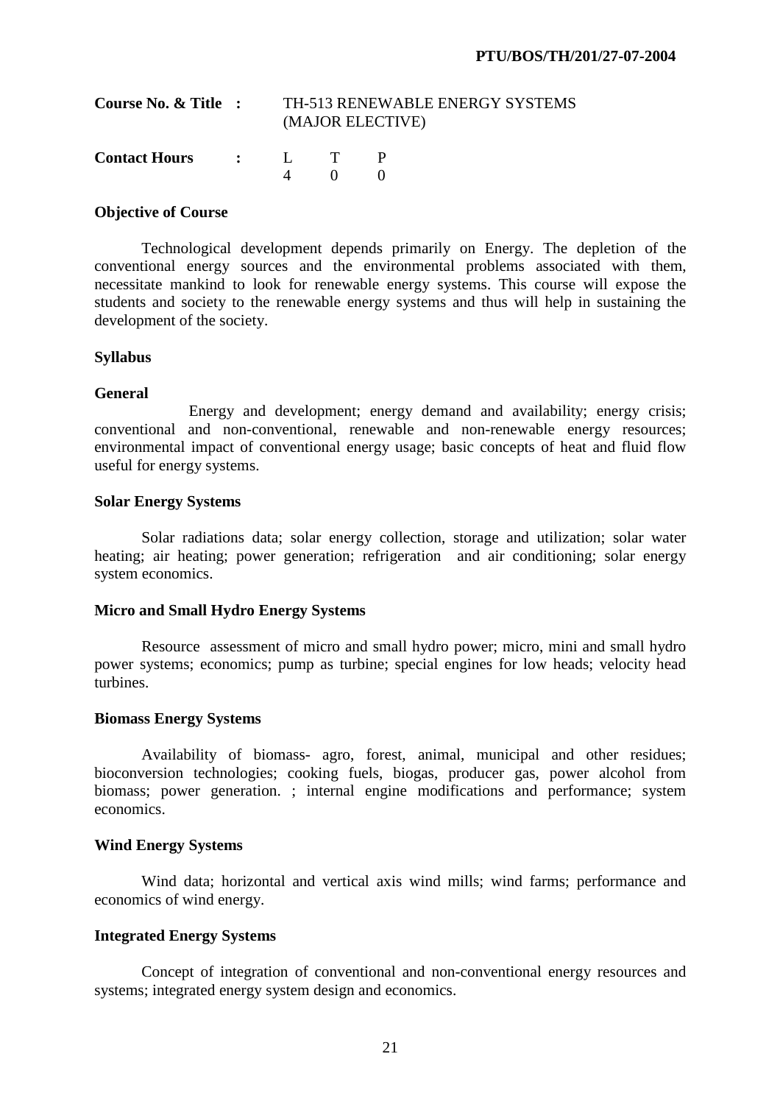| Course No. & Title :  | TH-513 RENEWABLE ENERGY SYSTEMS<br>(MAJOR ELECTIVE) |          |  |
|-----------------------|-----------------------------------------------------|----------|--|
| Contact Hours : L T P |                                                     | $\sim 0$ |  |

 Technological development depends primarily on Energy. The depletion of the conventional energy sources and the environmental problems associated with them, necessitate mankind to look for renewable energy systems. This course will expose the students and society to the renewable energy systems and thus will help in sustaining the development of the society.

## **Syllabus**

## **General**

 Energy and development; energy demand and availability; energy crisis; conventional and non-conventional, renewable and non-renewable energy resources; environmental impact of conventional energy usage; basic concepts of heat and fluid flow useful for energy systems.

#### **Solar Energy Systems**

 Solar radiations data; solar energy collection, storage and utilization; solar water heating; air heating; power generation; refrigeration and air conditioning; solar energy system economics.

#### **Micro and Small Hydro Energy Systems**

 Resource assessment of micro and small hydro power; micro, mini and small hydro power systems; economics; pump as turbine; special engines for low heads; velocity head turbines.

# **Biomass Energy Systems**

 Availability of biomass- agro, forest, animal, municipal and other residues; bioconversion technologies; cooking fuels, biogas, producer gas, power alcohol from biomass; power generation. ; internal engine modifications and performance; system economics.

# **Wind Energy Systems**

 Wind data; horizontal and vertical axis wind mills; wind farms; performance and economics of wind energy.

# **Integrated Energy Systems**

 Concept of integration of conventional and non-conventional energy resources and systems; integrated energy system design and economics.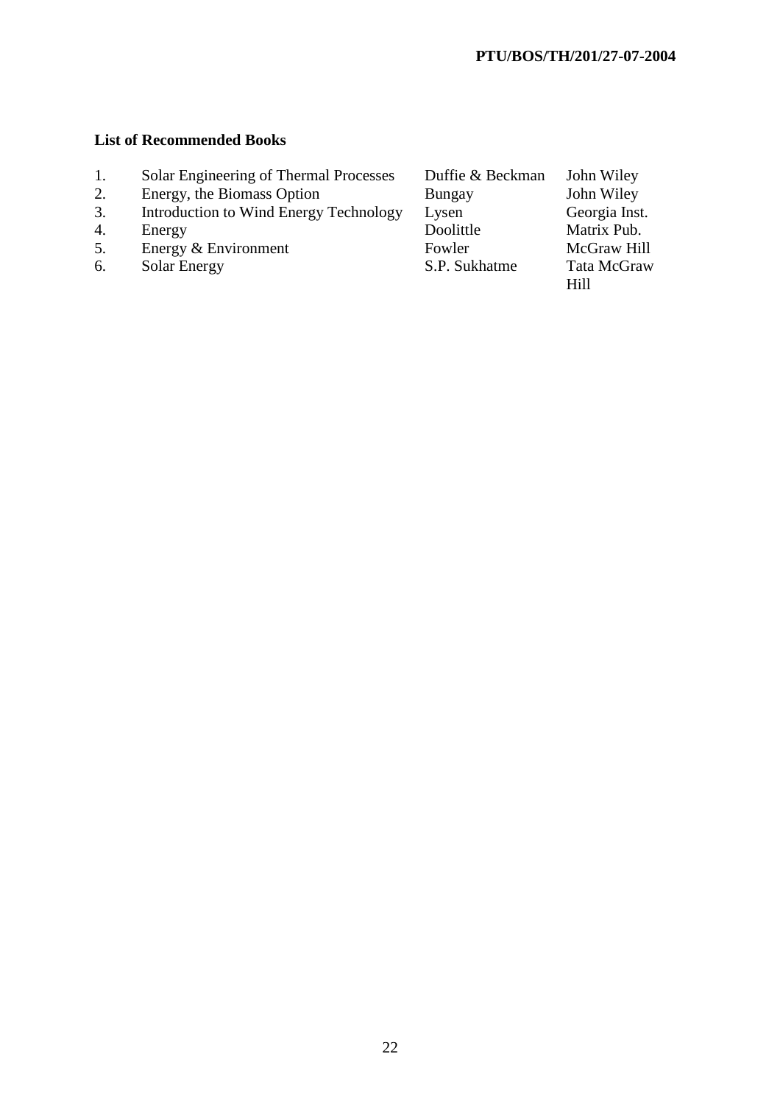# **List of Recommended Books**

- 1. Solar Engineering of Thermal Processes Duffie & Beckman John Wiley
- 2. Energy, the Biomass Option Bungay John Wiley
- 
- 
- 
- 6. Solar Energy S.P. Sukhatme

3. Introduction to Wind Energy Technology Lysen Georgia Inst.<br>4. Energy Technology Lysen Doolittle Matrix Pub. 4. Energy & Environment<br>
5. Energy & Environment<br>
Fowler McGraw Hill 5. Energy & Environment Fowler McGraw Hill<br>
6. Solar Energy  $S.P.$  Sukhatme Tata McGraw

Hill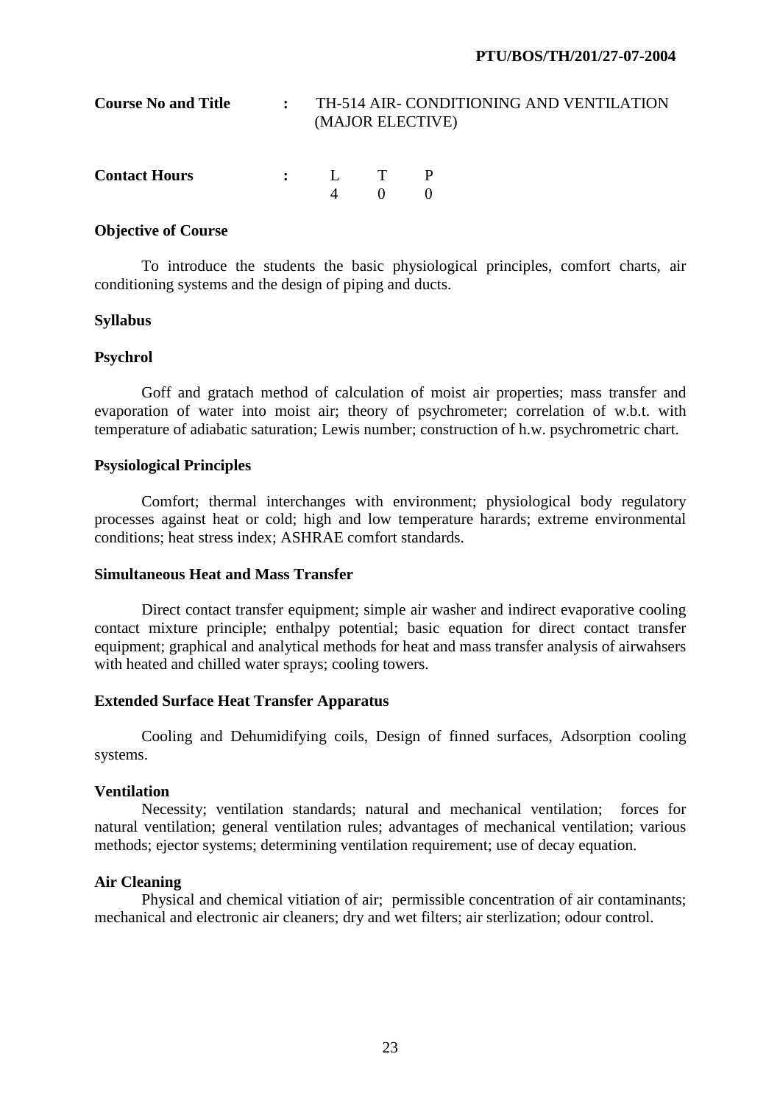| <b>Course No and Title</b> | : TH-514 AIR- CONDITIONING AND VENTILATION<br>(MAJOR ELECTIVE) |  |  |  |  |
|----------------------------|----------------------------------------------------------------|--|--|--|--|
| <b>Contact Hours</b>       | $\cdot$ I T P                                                  |  |  |  |  |

 To introduce the students the basic physiological principles, comfort charts, air conditioning systems and the design of piping and ducts.

#### **Syllabus**

#### **Psychrol**

 Goff and gratach method of calculation of moist air properties; mass transfer and evaporation of water into moist air; theory of psychrometer; correlation of w.b.t. with temperature of adiabatic saturation; Lewis number; construction of h.w. psychrometric chart.

# **Psysiological Principles**

 Comfort; thermal interchanges with environment; physiological body regulatory processes against heat or cold; high and low temperature harards; extreme environmental conditions; heat stress index; ASHRAE comfort standards.

#### **Simultaneous Heat and Mass Transfer**

 Direct contact transfer equipment; simple air washer and indirect evaporative cooling contact mixture principle; enthalpy potential; basic equation for direct contact transfer equipment; graphical and analytical methods for heat and mass transfer analysis of airwahsers with heated and chilled water sprays; cooling towers.

# **Extended Surface Heat Transfer Apparatus**

 Cooling and Dehumidifying coils, Design of finned surfaces, Adsorption cooling systems.

#### **Ventilation**

 Necessity; ventilation standards; natural and mechanical ventilation; forces for natural ventilation; general ventilation rules; advantages of mechanical ventilation; various methods; ejector systems; determining ventilation requirement; use of decay equation.

#### **Air Cleaning**

 Physical and chemical vitiation of air; permissible concentration of air contaminants; mechanical and electronic air cleaners; dry and wet filters; air sterlization; odour control.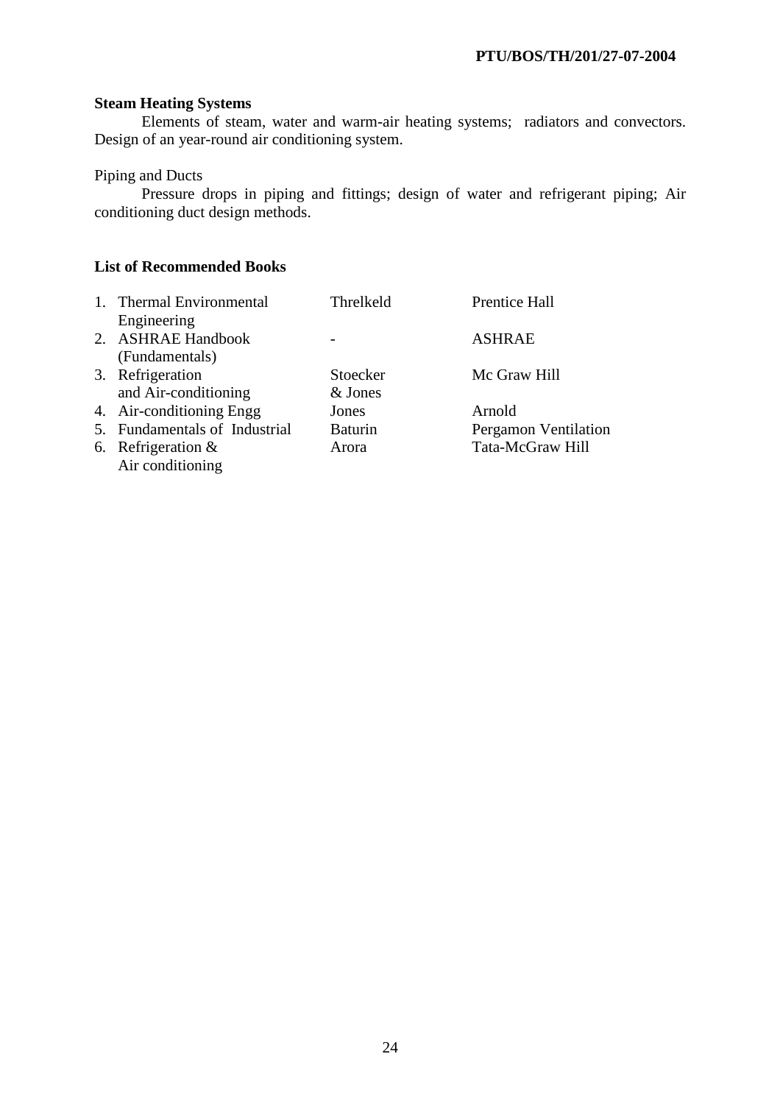# **Steam Heating Systems**

 Elements of steam, water and warm-air heating systems; radiators and convectors. Design of an year-round air conditioning system.

# Piping and Ducts

 Pressure drops in piping and fittings; design of water and refrigerant piping; Air conditioning duct design methods.

# **List of Recommended Books**

| 1. Thermal Environmental      | Threlkeld      | Prentice Hall        |
|-------------------------------|----------------|----------------------|
| Engineering                   |                |                      |
| 2. ASHRAE Handbook            |                | <b>ASHRAE</b>        |
| (Fundamentals)                |                |                      |
| 3. Refrigeration              | Stoecker       | Mc Graw Hill         |
| and Air-conditioning          | & Jones        |                      |
| 4. Air-conditioning Engg      | Jones          | Arnold               |
| 5. Fundamentals of Industrial | <b>Baturin</b> | Pergamon Ventilation |
| 6. Refrigeration $&$          | Arora          | Tata-McGraw Hill     |
| Air conditioning              |                |                      |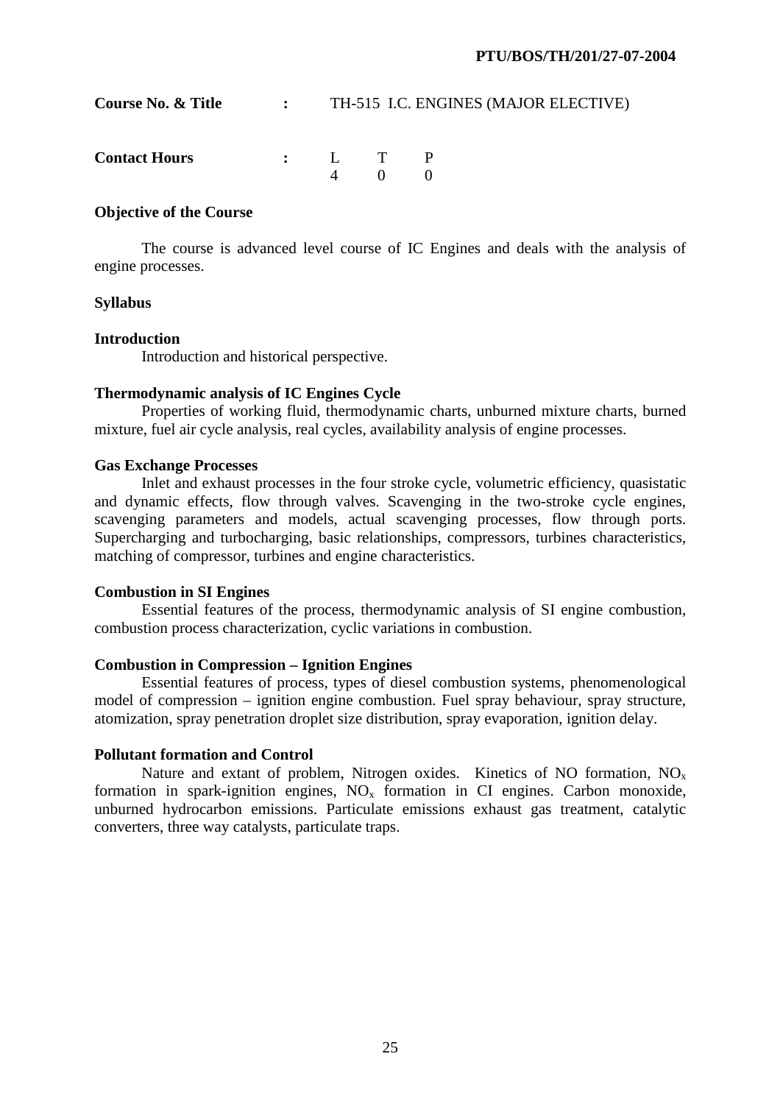| Course No. & Title   | $\mathbf{L}$ |                   | TH-515 I.C. ENGINES (MAJOR ELECTIVE) |
|----------------------|--------------|-------------------|--------------------------------------|
| <b>Contact Hours</b> |              | $\Delta \qquad 0$ |                                      |

 The course is advanced level course of IC Engines and deals with the analysis of engine processes.

## **Syllabus**

#### **Introduction**

Introduction and historical perspective.

# **Thermodynamic analysis of IC Engines Cycle**

 Properties of working fluid, thermodynamic charts, unburned mixture charts, burned mixture, fuel air cycle analysis, real cycles, availability analysis of engine processes.

# **Gas Exchange Processes**

 Inlet and exhaust processes in the four stroke cycle, volumetric efficiency, quasistatic and dynamic effects, flow through valves. Scavenging in the two-stroke cycle engines, scavenging parameters and models, actual scavenging processes, flow through ports. Supercharging and turbocharging, basic relationships, compressors, turbines characteristics, matching of compressor, turbines and engine characteristics.

#### **Combustion in SI Engines**

 Essential features of the process, thermodynamic analysis of SI engine combustion, combustion process characterization, cyclic variations in combustion.

# **Combustion in Compression – Ignition Engines**

 Essential features of process, types of diesel combustion systems, phenomenological model of compression – ignition engine combustion. Fuel spray behaviour, spray structure, atomization, spray penetration droplet size distribution, spray evaporation, ignition delay.

# **Pollutant formation and Control**

Nature and extant of problem, Nitrogen oxides. Kinetics of NO formation,  $NO<sub>x</sub>$ formation in spark-ignition engines,  $NO<sub>x</sub>$  formation in CI engines. Carbon monoxide, unburned hydrocarbon emissions. Particulate emissions exhaust gas treatment, catalytic converters, three way catalysts, particulate traps.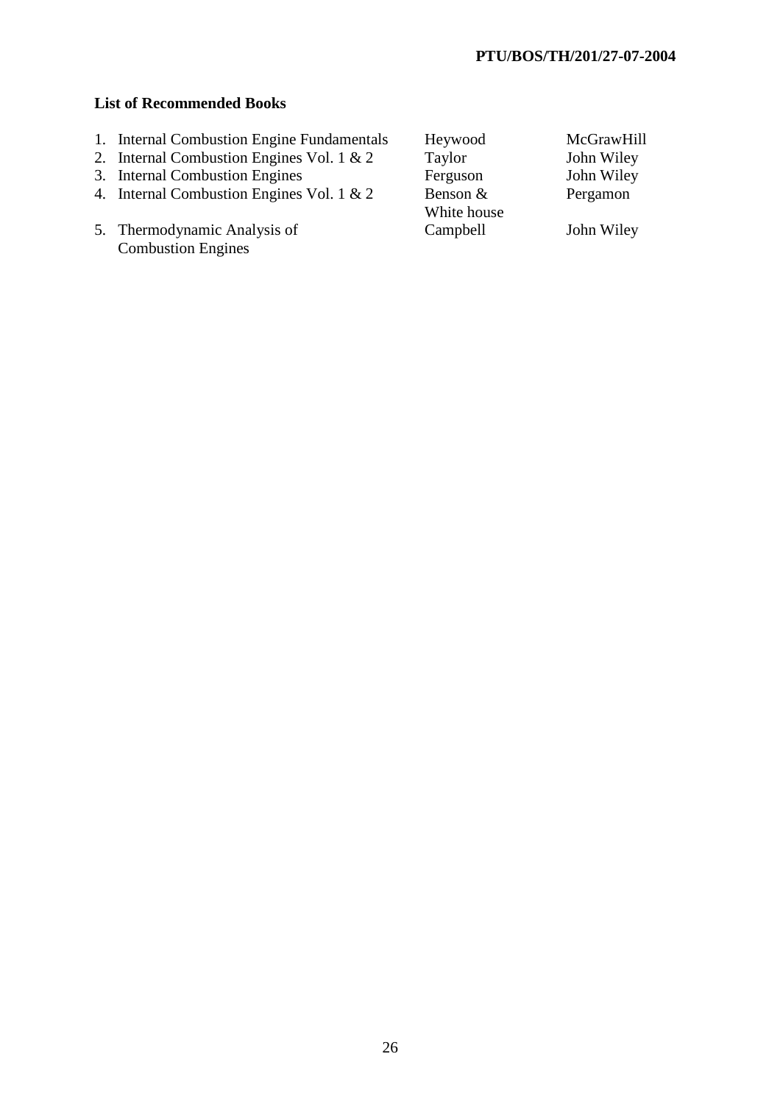# **List of Recommended Books**

- 1. Internal Combustion Engine Fundamentals Heywood McGrawHill<br>
2. Internal Combustion Engines Vol. 1 & 2 Taylor John Wiley
- 2. Internal Combustion Engines Vol. 1 & 2 Taylor John Wiley<br>
3. Internal Combustion Engines Ferguson John Wiley
- 
- 3. Internal Combustion Engines<br>
4. Internal Combustion Engines Vol. 1 & 2 Benson & Pergamon 4. Internal Combustion Engines Vol. 1 & 2 Benson &
- 5. Thermodynamic Analysis of Campbell John Wiley Combustion Engines

White house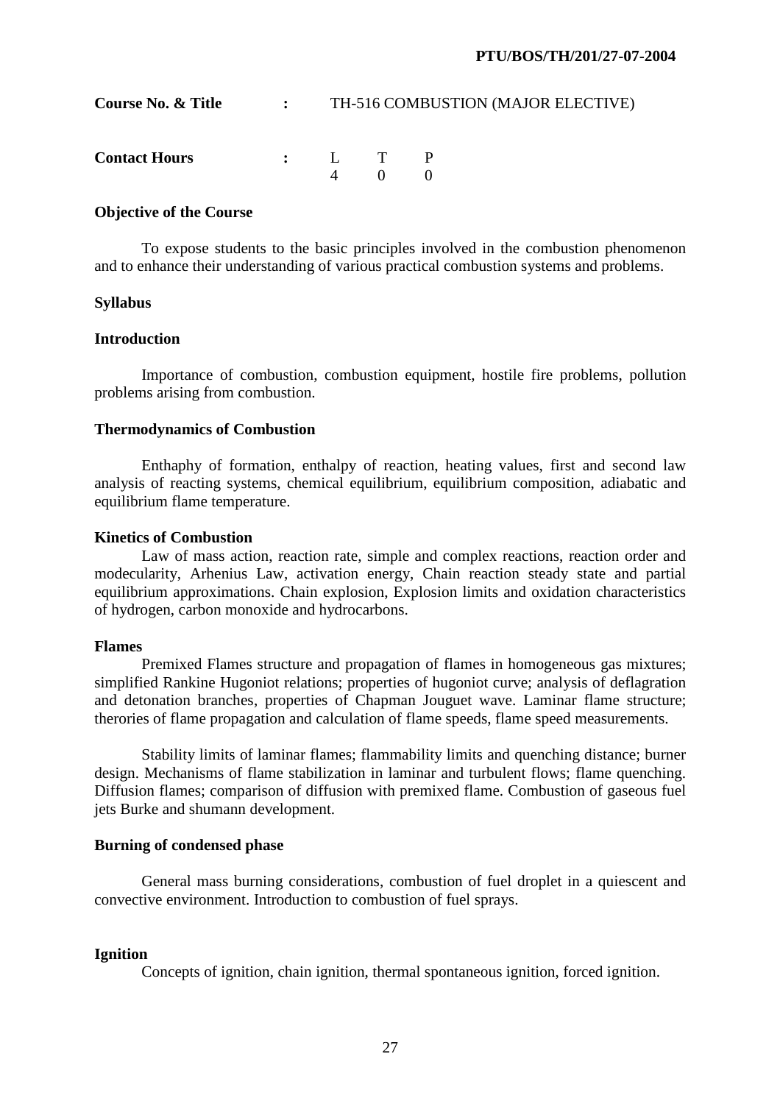| Course No. & Title   | $\mathbf{L}$ , $\mathbf{L}$ | TH-516 COMBUSTION (MAJOR ELECTIVE) |                   |  |  |  |
|----------------------|-----------------------------|------------------------------------|-------------------|--|--|--|
| <b>Contact Hours</b> |                             |                                    | $\Delta \qquad 0$ |  |  |  |

 To expose students to the basic principles involved in the combustion phenomenon and to enhance their understanding of various practical combustion systems and problems.

#### **Syllabus**

# **Introduction**

 Importance of combustion, combustion equipment, hostile fire problems, pollution problems arising from combustion.

#### **Thermodynamics of Combustion**

 Enthaphy of formation, enthalpy of reaction, heating values, first and second law analysis of reacting systems, chemical equilibrium, equilibrium composition, adiabatic and equilibrium flame temperature.

# **Kinetics of Combustion**

 Law of mass action, reaction rate, simple and complex reactions, reaction order and modecularity, Arhenius Law, activation energy, Chain reaction steady state and partial equilibrium approximations. Chain explosion, Explosion limits and oxidation characteristics of hydrogen, carbon monoxide and hydrocarbons.

#### **Flames**

 Premixed Flames structure and propagation of flames in homogeneous gas mixtures; simplified Rankine Hugoniot relations; properties of hugoniot curve; analysis of deflagration and detonation branches, properties of Chapman Jouguet wave. Laminar flame structure; therories of flame propagation and calculation of flame speeds, flame speed measurements.

 Stability limits of laminar flames; flammability limits and quenching distance; burner design. Mechanisms of flame stabilization in laminar and turbulent flows; flame quenching. Diffusion flames; comparison of diffusion with premixed flame. Combustion of gaseous fuel jets Burke and shumann development.

#### **Burning of condensed phase**

 General mass burning considerations, combustion of fuel droplet in a quiescent and convective environment. Introduction to combustion of fuel sprays.

# **Ignition**

Concepts of ignition, chain ignition, thermal spontaneous ignition, forced ignition.